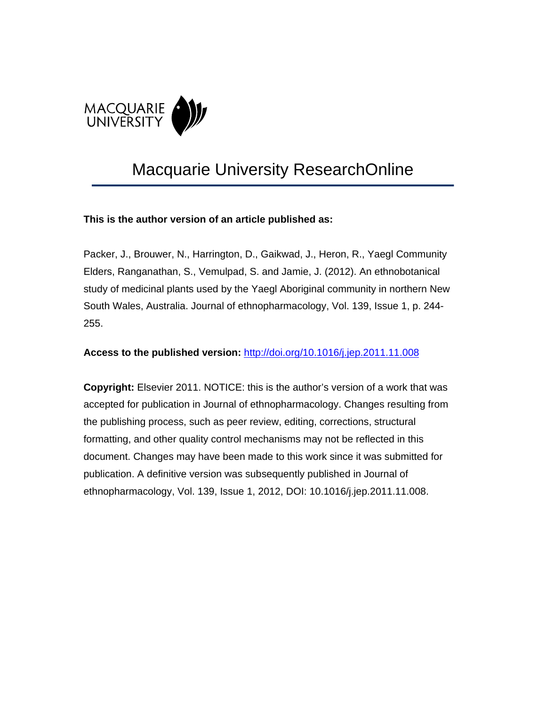

# Macquarie University ResearchOnline

## **This is the author version of an article published as:**

Packer, J., Brouwer, N., Harrington, D., Gaikwad, J., Heron, R., Yaegl Community Elders, Ranganathan, S., Vemulpad, S. and Jamie, J. (2012). An ethnobotanical study of medicinal plants used by the Yaegl Aboriginal community in northern New South Wales, Australia. Journal of ethnopharmacology, Vol. 139, Issue 1, p. 244- 255.

**Access to the published version:** http://doi.org/10.1016/j.jep.2011.11.008

**Copyright:** Elsevier 2011. NOTICE: this is the author's version of a work that was accepted for publication in Journal of ethnopharmacology. Changes resulting from the publishing process, such as peer review, editing, corrections, structural formatting, and other quality control mechanisms may not be reflected in this document. Changes may have been made to this work since it was submitted for publication. A definitive version was subsequently published in Journal of ethnopharmacology, Vol. 139, Issue 1, 2012, DOI: 10.1016/j.jep.2011.11.008.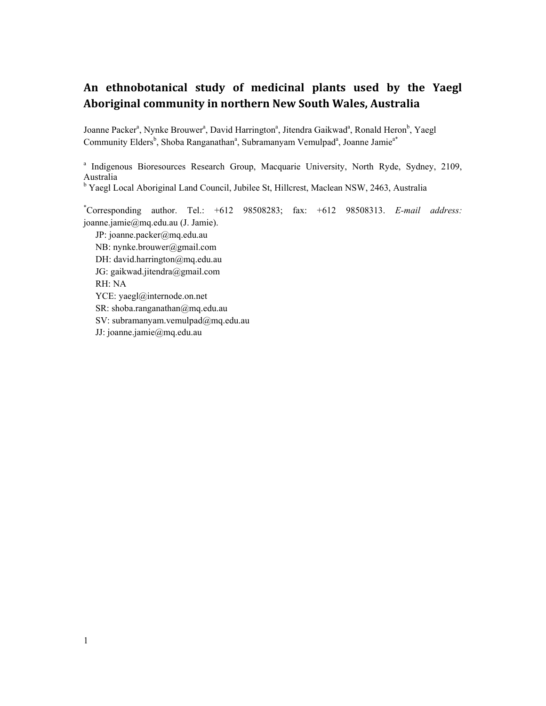## **An ethnobotanical study of medicinal plants used by the Yaegl Aboriginal community in northern New South Wales, Australia**

Joanne Packer<sup>a</sup>, Nynke Brouwer<sup>a</sup>, David Harrington<sup>a</sup>, Jitendra Gaikwad<sup>a</sup>, Ronald Heron<sup>b</sup>, Yaegl Community Elders<sup>b</sup>, Shoba Ranganathan<sup>a</sup>, Subramanyam Vemulpad<sup>a</sup>, Joanne Jamie<sup>a\*</sup>

<sup>a</sup> Indigenous Bioresources Research Group, Macquarie University, North Ryde, Sydney, 2109, Australia

<sup>b</sup> Yaegl Local Aboriginal Land Council, Jubilee St, Hillcrest, Maclean NSW, 2463, Australia

\* Corresponding author. Tel.: +612 98508283; fax: +612 98508313. *E-mail address:* joanne.jamie@mq.edu.au (J. Jamie).

JP: joanne.packer@mq.edu.au NB: nynke.brouwer@gmail.com

DH: david.harrington@mq.edu.au

JG: gaikwad.jitendra@gmail.com

RH: NA

YCE: yaegl@internode.on.net

SR: shoba.ranganathan@mq.edu.au

SV: subramanyam.vemulpad@mq.edu.au

JJ: joanne.jamie@mq.edu.au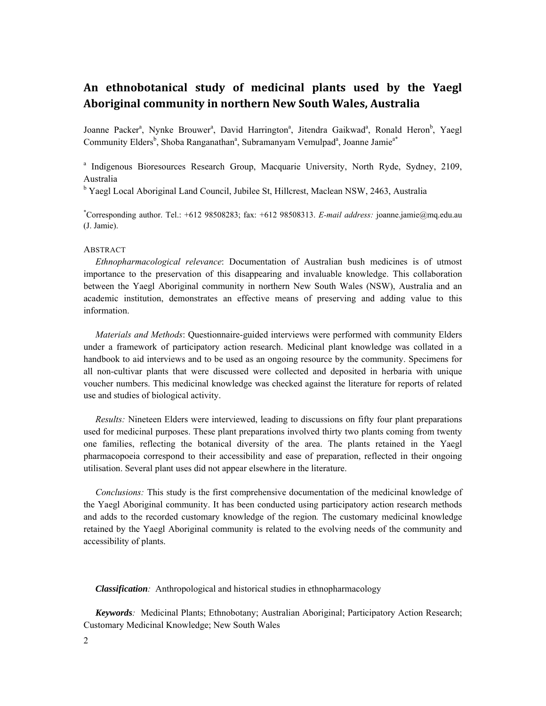## **An ethnobotanical study of medicinal plants used by the Yaegl Aboriginal community in northern New South Wales, Australia**

Joanne Packer<sup>a</sup>, Nynke Brouwer<sup>a</sup>, David Harrington<sup>a</sup>, Jitendra Gaikwad<sup>a</sup>, Ronald Heron<sup>b</sup>, Yaegl Community Elders<sup>b</sup>, Shoba Ranganathan<sup>a</sup>, Subramanyam Vemulpad<sup>a</sup>, Joanne Jamie<sup>a\*</sup>

<sup>a</sup> Indigenous Bioresources Research Group, Macquarie University, North Ryde, Sydney, 2109, Australia

<sup>b</sup> Yaegl Local Aboriginal Land Council, Jubilee St, Hillcrest, Maclean NSW, 2463, Australia

\* Corresponding author. Tel.: +612 98508283; fax: +612 98508313. *E-mail address:* joanne.jamie@mq.edu.au (J. Jamie).

#### **ABSTRACT**

*Ethnopharmacological relevance*: Documentation of Australian bush medicines is of utmost importance to the preservation of this disappearing and invaluable knowledge. This collaboration between the Yaegl Aboriginal community in northern New South Wales (NSW), Australia and an academic institution, demonstrates an effective means of preserving and adding value to this information.

*Materials and Methods*: Questionnaire-guided interviews were performed with community Elders under a framework of participatory action research. Medicinal plant knowledge was collated in a handbook to aid interviews and to be used as an ongoing resource by the community. Specimens for all non-cultivar plants that were discussed were collected and deposited in herbaria with unique voucher numbers. This medicinal knowledge was checked against the literature for reports of related use and studies of biological activity.

*Results:* Nineteen Elders were interviewed, leading to discussions on fifty four plant preparations used for medicinal purposes. These plant preparations involved thirty two plants coming from twenty one families, reflecting the botanical diversity of the area. The plants retained in the Yaegl pharmacopoeia correspond to their accessibility and ease of preparation, reflected in their ongoing utilisation. Several plant uses did not appear elsewhere in the literature.

*Conclusions:* This study is the first comprehensive documentation of the medicinal knowledge of the Yaegl Aboriginal community. It has been conducted using participatory action research methods and adds to the recorded customary knowledge of the region*.* The customary medicinal knowledge retained by the Yaegl Aboriginal community is related to the evolving needs of the community and accessibility of plants.

*Classification:* Anthropological and historical studies in ethnopharmacology

*Keywords:* Medicinal Plants; Ethnobotany; Australian Aboriginal; Participatory Action Research; Customary Medicinal Knowledge; New South Wales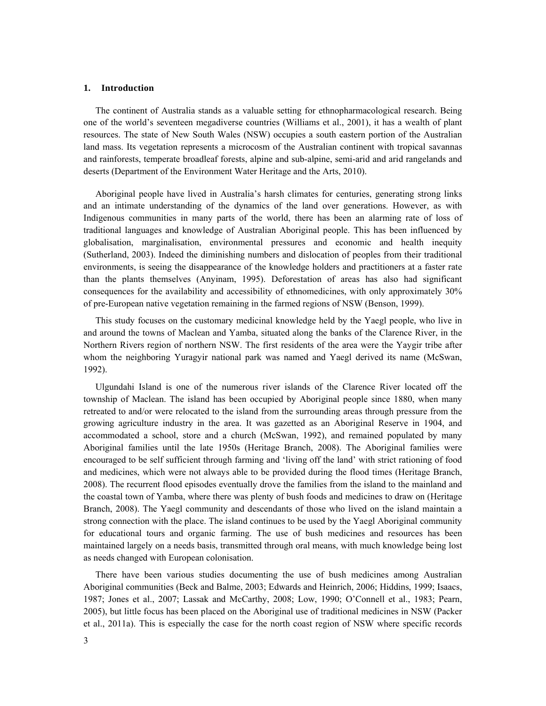#### **1. Introduction**

The continent of Australia stands as a valuable setting for ethnopharmacological research. Being one of the world's seventeen megadiverse countries (Williams et al., 2001), it has a wealth of plant resources. The state of New South Wales (NSW) occupies a south eastern portion of the Australian land mass. Its vegetation represents a microcosm of the Australian continent with tropical savannas and rainforests, temperate broadleaf forests, alpine and sub-alpine, semi-arid and arid rangelands and deserts (Department of the Environment Water Heritage and the Arts, 2010).

Aboriginal people have lived in Australia's harsh climates for centuries, generating strong links and an intimate understanding of the dynamics of the land over generations. However, as with Indigenous communities in many parts of the world, there has been an alarming rate of loss of traditional languages and knowledge of Australian Aboriginal people. This has been influenced by globalisation, marginalisation, environmental pressures and economic and health inequity (Sutherland, 2003). Indeed the diminishing numbers and dislocation of peoples from their traditional environments, is seeing the disappearance of the knowledge holders and practitioners at a faster rate than the plants themselves (Anyinam, 1995). Deforestation of areas has also had significant consequences for the availability and accessibility of ethnomedicines, with only approximately 30% of pre-European native vegetation remaining in the farmed regions of NSW (Benson, 1999).

This study focuses on the customary medicinal knowledge held by the Yaegl people, who live in and around the towns of Maclean and Yamba, situated along the banks of the Clarence River, in the Northern Rivers region of northern NSW. The first residents of the area were the Yaygir tribe after whom the neighboring Yuragyir national park was named and Yaegl derived its name (McSwan, 1992).

Ulgundahi Island is one of the numerous river islands of the Clarence River located off the township of Maclean. The island has been occupied by Aboriginal people since 1880, when many retreated to and/or were relocated to the island from the surrounding areas through pressure from the growing agriculture industry in the area. It was gazetted as an Aboriginal Reserve in 1904, and accommodated a school, store and a church (McSwan, 1992), and remained populated by many Aboriginal families until the late 1950s (Heritage Branch, 2008). The Aboriginal families were encouraged to be self sufficient through farming and 'living off the land' with strict rationing of food and medicines, which were not always able to be provided during the flood times (Heritage Branch, 2008). The recurrent flood episodes eventually drove the families from the island to the mainland and the coastal town of Yamba, where there was plenty of bush foods and medicines to draw on (Heritage Branch, 2008). The Yaegl community and descendants of those who lived on the island maintain a strong connection with the place. The island continues to be used by the Yaegl Aboriginal community for educational tours and organic farming. The use of bush medicines and resources has been maintained largely on a needs basis, transmitted through oral means, with much knowledge being lost as needs changed with European colonisation.

There have been various studies documenting the use of bush medicines among Australian Aboriginal communities (Beck and Balme, 2003; Edwards and Heinrich, 2006; Hiddins, 1999; Isaacs, 1987; Jones et al., 2007; Lassak and McCarthy, 2008; Low, 1990; O'Connell et al., 1983; Pearn, 2005), but little focus has been placed on the Aboriginal use of traditional medicines in NSW (Packer et al., 2011a). This is especially the case for the north coast region of NSW where specific records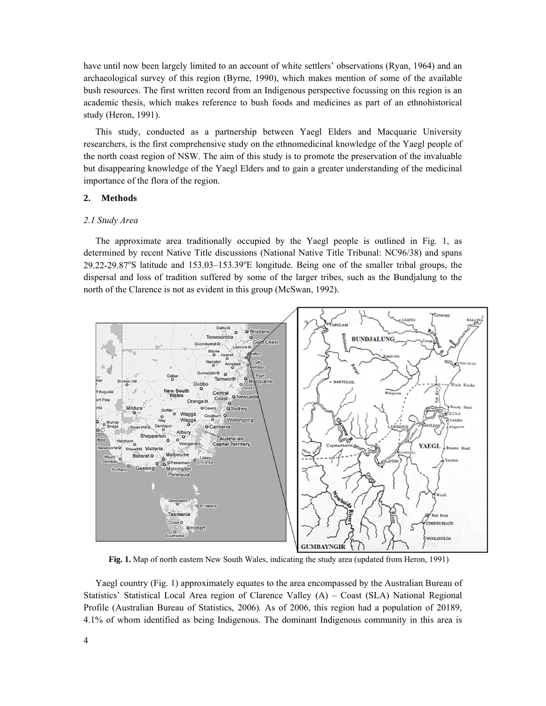have until now been largely limited to an account of white settlers' observations (Ryan, 1964) and an archaeological survey of this region (Byrne, 1990), which makes mention of some of the available bush resources. The first written record from an Indigenous perspective focussing on this region is an academic thesis, which makes reference to bush foods and medicines as part of an ethnohistorical study (Heron, 1991).

This study, conducted as a partnership between Yaegl Elders and Macquarie University researchers, is the first comprehensive study on the ethnomedicinal knowledge of the Yaegl people of the north coast region of NSW. The aim of this study is to promote the preservation of the invaluable but disappearing knowledge of the Yaegl Elders and to gain a greater understanding of the medicinal importance of the flora of the region.

#### **2. Methods**

#### *2.1 Study Area*

The approximate area traditionally occupied by the Yaegl people is outlined in Fig. 1, as determined by recent Native Title discussions (National Native Title Tribunal: NC96/38) and spans  $29.22 - 29.87^\circ$ S latitude and  $153.03 - 153.39^\circ$ E longitude. Being one of the smaller tribal groups, the dispersal and loss of tradition suffered by some of the larger tribes, such as the Bundjalung to the north of the Clarence is not as evident in this group (McSwan, 1992).



**Fig. 1.** Map of north eastern New South Wales, indicating the study area (updated from Heron, 1991)

Yaegl country (Fig. 1) approximately equates to the area encompassed by the Australian Bureau of Statistics' Statistical Local Area region of Clarence Valley (A) – Coast (SLA) National Regional Profile (Australian Bureau of Statistics, 2006)*.* As of 2006, this region had a population of 20189, 4.1% of whom identified as being Indigenous. The dominant Indigenous community in this area is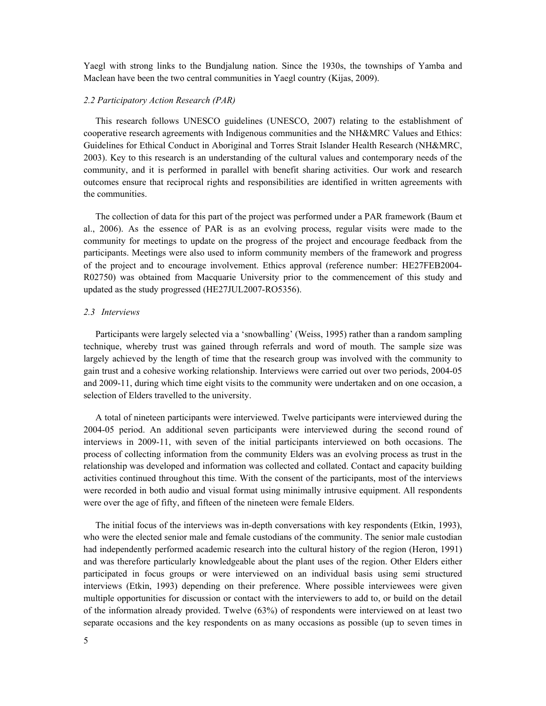Yaegl with strong links to the Bundjalung nation. Since the 1930s, the townships of Yamba and Maclean have been the two central communities in Yaegl country (Kijas, 2009).

#### *2.2 Participatory Action Research (PAR)*

This research follows UNESCO guidelines (UNESCO, 2007) relating to the establishment of cooperative research agreements with Indigenous communities and the NH&MRC Values and Ethics: Guidelines for Ethical Conduct in Aboriginal and Torres Strait Islander Health Research (NH&MRC, 2003). Key to this research is an understanding of the cultural values and contemporary needs of the community, and it is performed in parallel with benefit sharing activities. Our work and research outcomes ensure that reciprocal rights and responsibilities are identified in written agreements with the communities.

The collection of data for this part of the project was performed under a PAR framework (Baum et al., 2006). As the essence of PAR is as an evolving process, regular visits were made to the community for meetings to update on the progress of the project and encourage feedback from the participants. Meetings were also used to inform community members of the framework and progress of the project and to encourage involvement. Ethics approval (reference number: HE27FEB2004- R02750) was obtained from Macquarie University prior to the commencement of this study and updated as the study progressed (HE27JUL2007-RO5356).

#### *2.3 Interviews*

Participants were largely selected via a 'snowballing' (Weiss, 1995) rather than a random sampling technique, whereby trust was gained through referrals and word of mouth. The sample size was largely achieved by the length of time that the research group was involved with the community to gain trust and a cohesive working relationship. Interviews were carried out over two periods, 2004-05 and 2009-11, during which time eight visits to the community were undertaken and on one occasion, a selection of Elders travelled to the university.

A total of nineteen participants were interviewed. Twelve participants were interviewed during the 2004-05 period. An additional seven participants were interviewed during the second round of interviews in 2009-11, with seven of the initial participants interviewed on both occasions. The process of collecting information from the community Elders was an evolving process as trust in the relationship was developed and information was collected and collated. Contact and capacity building activities continued throughout this time. With the consent of the participants, most of the interviews were recorded in both audio and visual format using minimally intrusive equipment. All respondents were over the age of fifty, and fifteen of the nineteen were female Elders.

The initial focus of the interviews was in-depth conversations with key respondents (Etkin, 1993), who were the elected senior male and female custodians of the community. The senior male custodian had independently performed academic research into the cultural history of the region (Heron, 1991) and was therefore particularly knowledgeable about the plant uses of the region. Other Elders either participated in focus groups or were interviewed on an individual basis using semi structured interviews (Etkin, 1993) depending on their preference. Where possible interviewees were given multiple opportunities for discussion or contact with the interviewers to add to, or build on the detail of the information already provided. Twelve (63%) of respondents were interviewed on at least two separate occasions and the key respondents on as many occasions as possible (up to seven times in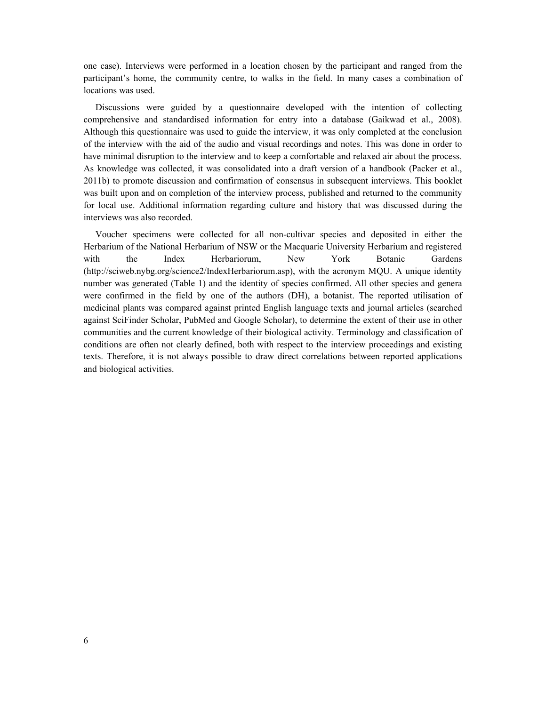one case). Interviews were performed in a location chosen by the participant and ranged from the participant's home, the community centre, to walks in the field. In many cases a combination of locations was used.

Discussions were guided by a questionnaire developed with the intention of collecting comprehensive and standardised information for entry into a database (Gaikwad et al., 2008). Although this questionnaire was used to guide the interview, it was only completed at the conclusion of the interview with the aid of the audio and visual recordings and notes. This was done in order to have minimal disruption to the interview and to keep a comfortable and relaxed air about the process. As knowledge was collected, it was consolidated into a draft version of a handbook (Packer et al., 2011b) to promote discussion and confirmation of consensus in subsequent interviews. This booklet was built upon and on completion of the interview process, published and returned to the community for local use. Additional information regarding culture and history that was discussed during the interviews was also recorded.

Voucher specimens were collected for all non-cultivar species and deposited in either the Herbarium of the National Herbarium of NSW or the Macquarie University Herbarium and registered with the Index Herbariorum, New York Botanic Gardens (http://sciweb.nybg.org/science2/IndexHerbariorum.asp), with the acronym MQU. A unique identity number was generated (Table 1) and the identity of species confirmed. All other species and genera were confirmed in the field by one of the authors (DH), a botanist. The reported utilisation of medicinal plants was compared against printed English language texts and journal articles (searched against SciFinder Scholar, PubMed and Google Scholar), to determine the extent of their use in other communities and the current knowledge of their biological activity. Terminology and classification of conditions are often not clearly defined, both with respect to the interview proceedings and existing texts. Therefore, it is not always possible to draw direct correlations between reported applications and biological activities.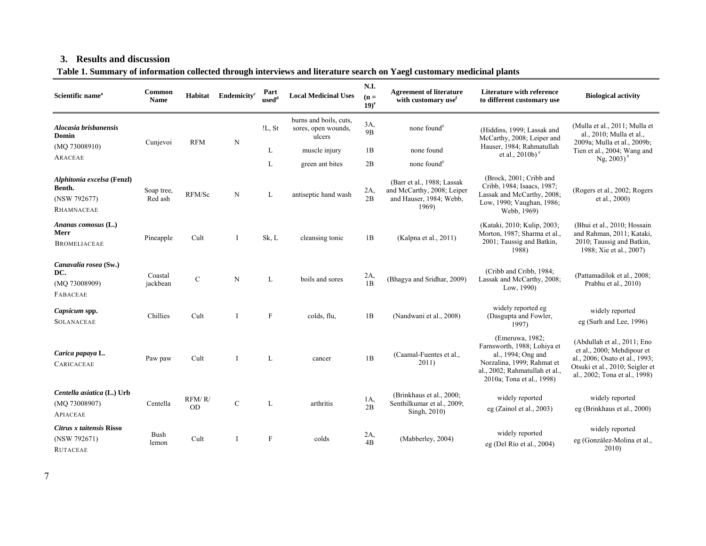#### **3. Results and discussion**

### **Table 1. Summary of information collected through interviews and literature search on Yaegl customary medicinal plants**

| Scientific name <sup>a</sup>                                       | Common<br>Name        | Habitat             | $\mathbf{Endemicity}^c$ | Part<br>used <sup>d</sup> | <b>Local Medicinal Uses</b>                             | N.I.<br>$(n =$<br>$19)^e$ | <b>Agreement of literature</b><br>with customary use <sup>f</sup>                            | <b>Literature with reference</b><br>to different customary use                                                                                                    | <b>Biological activity</b>                                                                                                                                      |
|--------------------------------------------------------------------|-----------------------|---------------------|-------------------------|---------------------------|---------------------------------------------------------|---------------------------|----------------------------------------------------------------------------------------------|-------------------------------------------------------------------------------------------------------------------------------------------------------------------|-----------------------------------------------------------------------------------------------------------------------------------------------------------------|
| Alocasia brisbanensis<br><b>Domin</b>                              |                       |                     |                         | IL, St                    | burns and boils, cuts,<br>sores, open wounds,<br>ulcers | 3A,<br>9 <sub>B</sub>     | none found <sup>#</sup>                                                                      | (Hiddins, 1999; Lassak and<br>McCarthy, 2008; Leiper and                                                                                                          | (Mulla et al., 2011; Mulla et<br>al., 2010; Mulla et al.,                                                                                                       |
| (MQ 73008910)                                                      | Cunjevoi              | <b>RFM</b>          | N                       | L                         | muscle injury                                           | 1B                        | none found                                                                                   | Hauser, 1984; Rahmatullah<br>et al., $2010b$ <sup>#</sup>                                                                                                         | 2009a; Mulla et al., 2009b;<br>Tien et al., 2004; Wang and                                                                                                      |
| <b>ARACEAE</b>                                                     |                       |                     |                         | L                         | green ant bites                                         | 2B                        | none found <sup>#</sup>                                                                      |                                                                                                                                                                   | Ng, $2003$ <sup>#</sup>                                                                                                                                         |
| Alphitonia excelsa (Fenzl)<br>Benth.<br>(NSW 792677)<br>RHAMNACEAE | Soap tree,<br>Red ash | RFM/Sc              | N                       | L                         | antiseptic hand wash                                    | 2A<br>2B                  | (Barr et al., 1988; Lassak<br>and McCarthy, 2008; Leiper<br>and Hauser, 1984; Webb,<br>1969) | (Brock, 2001; Cribb and<br>Cribb, 1984; Isaacs, 1987;<br>Lassak and McCarthy, 2008;<br>Low, 1990; Vaughan, 1986;<br>Webb, 1969)                                   | (Rogers et al., 2002; Rogers<br>et al., 2000)                                                                                                                   |
| Ananas comosus (L.)<br>Merr<br><b>BROMELIACEAE</b>                 | Pineapple             | Cult                | Ι                       | Sk, L                     | cleansing tonic                                         | 1B                        | (Kalpna et al., 2011)                                                                        | (Kataki, 2010; Kulip, 2003;<br>Morton, 1987; Sharma et al.,<br>2001; Taussig and Batkin,<br>1988)                                                                 | (Bhui et al., 2010; Hossain<br>and Rahman, 2011; Kataki,<br>2010; Taussig and Batkin,<br>1988; Xie et al., 2007)                                                |
| Canavalia rosea (Sw.)<br>DC.<br>(MQ 73008909)<br>FABACEAE          | Coastal<br>jackbean   | $\mathcal{C}$       | N                       | L                         | boils and sores                                         | 2A,<br>1 <sub>B</sub>     | (Bhagya and Sridhar, 2009)                                                                   | (Cribb and Cribb, 1984;<br>Lassak and McCarthy, 2008;<br>Low, $1990$ )                                                                                            | (Pattamadilok et al., 2008;<br>Prabhu et al., 2010)                                                                                                             |
| Capsicum spp.<br><b>SOLANACEAE</b>                                 | Chillies              | Cult                |                         | F                         | colds, flu,                                             | 1B                        | (Nandwani et al., 2008)                                                                      | widely reported eg<br>(Dasgupta and Fowler,<br>1997)                                                                                                              | widely reported<br>eg (Surh and Lee, 1996)                                                                                                                      |
| Carica papaya L.<br><b>CARICACEAE</b>                              | Paw paw               | Cult                | $\mathbf I$             | L                         | cancer                                                  | 1B                        | (Caamal-Fuentes et al.,<br>2011)                                                             | (Emeruwa, 1982;<br>Farnsworth, 1988; Lohiya et<br>al., 1994; Ong and<br>Norzalina, 1999; Rahmat et<br>al., 2002; Rahmatullah et al.,<br>2010a; Tona et al., 1998) | (Abdullah et al., 2011; Eno<br>et al., 2000; Mehdipour et<br>al., 2006; Osato et al., 1993;<br>Otsuki et al., 2010; Seigler et<br>al., 2002; Tona et al., 1998) |
| Centella asiatica (L.) Urb<br>(MQ 73008907)<br><b>APIACEAE</b>     | Centella              | RFM/R/<br><b>OD</b> | $\mathcal{C}$           | L                         | arthritis                                               | 1A<br>2B                  | (Brinkhaus et al., 2000;<br>Senthilkumar et al., 2009;<br>Singh, 2010)                       | widely reported<br>eg (Zainol et al., $2003$ )                                                                                                                    | widely reported<br>eg (Brinkhaus et al., 2000)                                                                                                                  |
| Citrus x taitensis Risso<br>(NSW 792671)<br><b>RUTACEAE</b>        | <b>Bush</b><br>lemon  | Cult                | $\mathbf I$             | $\boldsymbol{\mathrm{F}}$ | colds                                                   | 2A,<br>4B                 | (Mabberley, 2004)                                                                            | widely reported<br>eg (Del Río et al., 2004)                                                                                                                      | widely reported<br>eg (González-Molina et al.,<br>2010)                                                                                                         |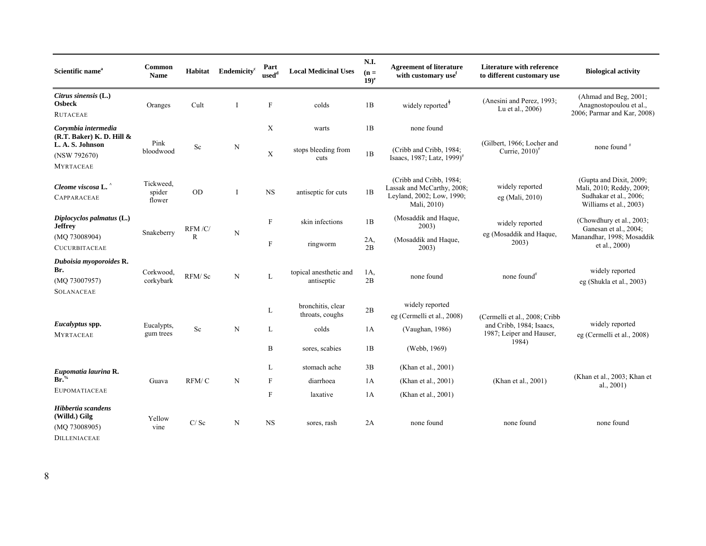| Scientific name <sup>a</sup>                                                      | Common<br>Name                | Habitat   | $\mathbf{Endemicity}^c$ | Part<br>used <sup>d</sup> | <b>Local Medicinal Uses</b>          | N.I.<br>$(n =$<br>$19)^e$ | <b>Agreement of literature</b><br>with customary use <sup>f</sup>                                 | <b>Literature with reference</b><br>to different customary use                                 | <b>Biological activity</b>                                                                              |
|-----------------------------------------------------------------------------------|-------------------------------|-----------|-------------------------|---------------------------|--------------------------------------|---------------------------|---------------------------------------------------------------------------------------------------|------------------------------------------------------------------------------------------------|---------------------------------------------------------------------------------------------------------|
| Citrus sinensis (L.)<br><b>Osbeck</b><br><b>RUTACEAE</b>                          | Oranges                       | Cult      | I                       | F                         | colds                                | 1B                        | widely reported <sup>†</sup>                                                                      | (Anesini and Perez, 1993;<br>Lu et al., 2006)                                                  | (Ahmad and Beg, 2001;<br>Anagnostopoulou et al.,<br>2006; Parmar and Kar, 2008)                         |
| Corymbia intermedia                                                               |                               |           |                         | X                         | warts                                | 1B                        | none found                                                                                        |                                                                                                |                                                                                                         |
| (R.T. Baker) K. D. Hill &<br>L. A. S. Johnson<br>(NSW 792670)<br><b>MYRTACEAE</b> | Pink<br>bloodwood             | Sc        | N                       | $\mathbf X$               | stops bleeding from<br>cuts          | 1B                        | (Cribb and Cribb, 1984;<br>Isaacs, 1987; Latz, 1999) <sup>#</sup>                                 | (Gilbert, 1966; Locher and<br>Currie, $2010$ <sup>#</sup>                                      | none found $#$                                                                                          |
| Cleome viscosa L.<br>CAPPARACEAE                                                  | Tickweed.<br>spider<br>flower | <b>OD</b> | Ι.                      | <b>NS</b>                 | antiseptic for cuts                  | 1B                        | (Cribb and Cribb, 1984;<br>Lassak and McCarthy, 2008;<br>Leyland, 2002; Low, 1990;<br>Mali, 2010) | widely reported<br>eg (Mali, 2010)                                                             | (Gupta and Dixit, 2009;<br>Mali, 2010; Reddy, 2009;<br>Sudhakar et al., 2006;<br>Williams et al., 2003) |
| Diplocyclos palmatus (L.)<br><b>Jeffrey</b>                                       |                               | RFM/C/    | N                       | F                         | skin infections                      | 1B                        | (Mosaddik and Haque,<br>2003)                                                                     | widely reported<br>eg (Mosaddik and Haque,<br>2003)                                            | (Chowdhury et al., 2003;<br>Ganesan et al., 2004;<br>Manandhar, 1998; Mosaddik<br>et al., 2000)         |
| (MQ 73008904)<br><b>CUCURBITACEAE</b>                                             | Snakeberry                    | R         |                         | F                         | ringworm                             | 2A,<br>2B                 | (Mosaddik and Haque,<br>2003)                                                                     |                                                                                                |                                                                                                         |
| Duboisia myoporoides R.<br>Br.<br>(MQ 73007957)<br><b>SOLANACEAE</b>              | Corkwood,<br>corkybark        | RFM/Sc    | N                       | L                         | topical anesthetic and<br>antiseptic | 1A<br>2B                  | none found                                                                                        | none found <sup>#</sup>                                                                        | widely reported<br>eg (Shukla et al., 2003)                                                             |
|                                                                                   | Eucalypts,<br>gum trees       | <b>Sc</b> | N                       | L                         | bronchitis, clear<br>throats, coughs | 2B                        | widely reported<br>eg (Cermelli et al., 2008)                                                     | (Cermelli et al., 2008; Cribb<br>and Cribb, 1984; Isaacs,<br>1987; Leiper and Hauser,<br>1984) | widely reported<br>eg (Cermelli et al., 2008)                                                           |
| <i>Eucalyptus</i> spp.<br><b>MYRTACEAE</b>                                        |                               |           |                         | L                         | colds                                | 1A                        | (Vaughan, 1986)                                                                                   |                                                                                                |                                                                                                         |
|                                                                                   |                               |           |                         | B                         | sores, scabies                       | 1B                        | (Webb, 1969)                                                                                      |                                                                                                |                                                                                                         |
| Eupomatia laurina R.                                                              |                               |           |                         | L                         | stomach ache                         | 3B                        | (Khan et al., 2001)                                                                               |                                                                                                |                                                                                                         |
| Br.                                                                               | Guava                         | RFM/C     | N                       | F                         | diarrhoea                            | 1A                        | (Khan et al., 2001)                                                                               | (Khan et al., 2001)                                                                            | (Khan et al., 2003; Khan et<br>al., $2001$ )                                                            |
| <b>EUPOMATIACEAE</b>                                                              |                               |           |                         | F                         | laxative                             | 1A                        | (Khan et al., 2001)                                                                               |                                                                                                |                                                                                                         |
| Hibbertia scandens<br>(Willd.) Gilg<br>(MQ 73008905)<br><b>DILLENIACEAE</b>       | Yellow<br>vine                | $C/$ Sc   | N                       | <b>NS</b>                 | sores, rash                          | 2A                        | none found                                                                                        | none found                                                                                     | none found                                                                                              |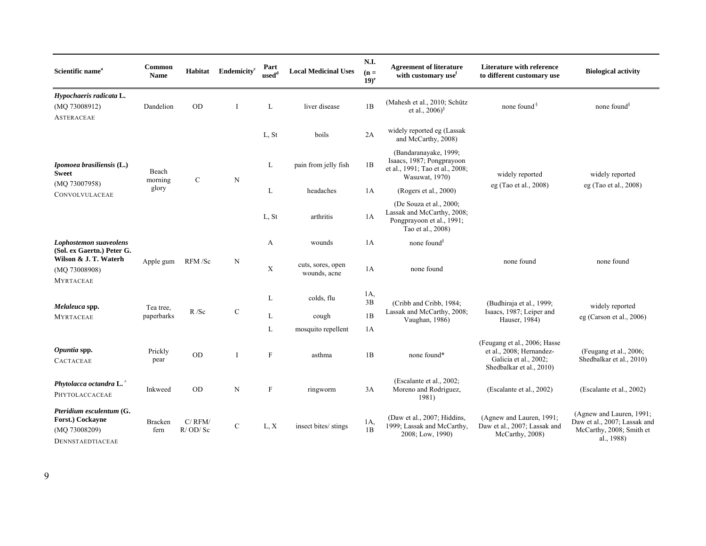| Scientific name <sup>a</sup>                                                              | Common<br>Name          | Habitat                 | Endemicity <sup>c</sup> | Part<br>used <sup>d</sup> | <b>Local Medicinal Uses</b>       | N.I.<br>$(n =$<br>$19)^e$ | <b>Agreement of literature</b><br>with customary use <sup>f</sup>                                                                                | <b>Literature with reference</b><br>to different customary use                                                | <b>Biological activity</b>                                                                         |
|-------------------------------------------------------------------------------------------|-------------------------|-------------------------|-------------------------|---------------------------|-----------------------------------|---------------------------|--------------------------------------------------------------------------------------------------------------------------------------------------|---------------------------------------------------------------------------------------------------------------|----------------------------------------------------------------------------------------------------|
| Hypochaeris radicata L.<br>(MQ 73008912)<br><b>ASTERACEAE</b>                             | Dandelion               | <b>OD</b>               | $\mathbf I$             | L                         | liver disease                     | 1B                        | (Mahesh et al., 2010; Schütz<br>et al., $2006$ <sup>§</sup>                                                                                      | none found <sup>§</sup>                                                                                       | none found <sup>§</sup>                                                                            |
| Ipomoea brasiliensis (L.)<br>Sweet                                                        |                         |                         |                         | L, St                     | boils                             | 2A                        | widely reported eg (Lassak<br>and McCarthy, 2008)                                                                                                | widely reported<br>eg (Tao et al., 2008)                                                                      | widely reported<br>eg (Tao et al., 2008)                                                           |
|                                                                                           | Beach<br>morning        | $\mathbf C$             | $\mathbf N$             | L                         | pain from jelly fish              | 1B                        | (Bandaranayake, 1999;<br>Isaacs, 1987; Pongprayoon<br>et al., 1991; Tao et al., 2008;<br>Wasuwat, 1970)                                          |                                                                                                               |                                                                                                    |
| (MQ 73007958)<br>CONVOLVULACEAE                                                           | glory                   |                         |                         | L                         | headaches                         | 1A                        | (Rogers et al., 2000)                                                                                                                            |                                                                                                               |                                                                                                    |
|                                                                                           |                         |                         |                         | L, St                     | arthritis                         | 1A                        | (De Souza et al., 2000;<br>Lassak and McCarthy, 2008;<br>Pongprayoon et al., 1991;<br>Tao et al., 2008)                                          |                                                                                                               |                                                                                                    |
| Lophostemon suaveolens                                                                    |                         |                         |                         | A                         | wounds                            | 1A                        | none found <sup>§</sup>                                                                                                                          |                                                                                                               |                                                                                                    |
| (Sol. ex Gaertn.) Peter G.<br>Wilson & J. T. Waterh<br>(MQ 73008908)<br><b>MYRTACEAE</b>  | Apple gum               | RFM /Sc                 | N                       | $\mathbf X$               | cuts, sores, open<br>wounds, acne | 1A                        | none found                                                                                                                                       | none found                                                                                                    | none found                                                                                         |
|                                                                                           | Tea tree.<br>paperbarks | R/Sc                    |                         | L                         | colds, flu                        | 1A,<br>3B                 | (Cribb and Cribb, 1984;<br>(Budhiraja et al., 1999;<br>Lassak and McCarthy, 2008;<br>Isaacs, 1987; Leiper and<br>Vaughan, 1986)<br>Hauser, 1984) |                                                                                                               | widely reported                                                                                    |
| <i>Melaleuca</i> spp.<br><b>MYRTACEAE</b>                                                 |                         |                         | $\mathcal{C}$           | L                         | cough                             | 1B                        |                                                                                                                                                  |                                                                                                               | eg (Carson et al., 2006)                                                                           |
|                                                                                           |                         |                         |                         | L                         | mosquito repellent                | 1A                        |                                                                                                                                                  |                                                                                                               |                                                                                                    |
| Opuntia spp.<br><b>CACTACEAE</b>                                                          | Prickly<br>pear         | <b>OD</b>               | $\mathbf I$             | $\mathbf F$               | asthma                            | 1B                        | none found*                                                                                                                                      | (Feugang et al., 2006; Hasse<br>et al., 2008; Hernandez-<br>Galicia et al., 2002;<br>Shedbalkar et al., 2010) | (Feugang et al., 2006;<br>Shedbalkar et al., 2010)                                                 |
| Phytolacca octandra L.<br>PHYTOLACCACEAE                                                  | Inkweed                 | <b>OD</b>               | N                       | $\boldsymbol{\mathrm{F}}$ | ringworm                          | 3A                        | (Escalante et al., 2002;<br>Moreno and Rodriguez,<br>1981)                                                                                       | (Escalante et al., 2002)                                                                                      | (Escalante et al., 2002)                                                                           |
| Pteridium esculentum (G.<br><b>Forst.</b> ) Cockayne<br>(MQ 73008209)<br>DENNSTAEDTIACEAE | <b>Bracken</b><br>fern  | $C/$ RFM/<br>$R/OD/$ Sc | $\mathbf C$             | L, X                      | insect bites/stings               | 1A,<br>1B                 | (Daw et al., 2007; Hiddins,<br>1999; Lassak and McCarthy,<br>2008; Low, 1990)                                                                    | (Agnew and Lauren, 1991;<br>Daw et al., 2007; Lassak and<br>McCarthy, 2008)                                   | (Agnew and Lauren, 1991;<br>Daw et al., 2007; Lassak and<br>McCarthy, 2008; Smith et<br>al., 1988) |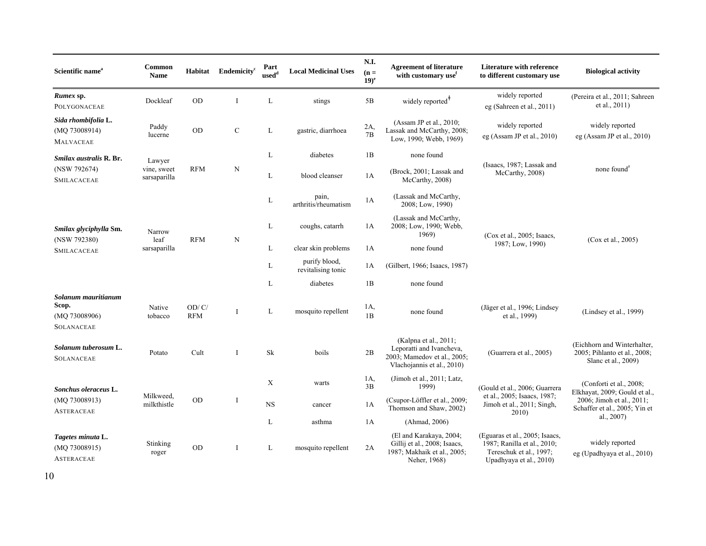| Scientific name <sup>a</sup>                                       | Common<br>Name                               | Habitat              | $\mathbf{Endemicity}^c$ | Part<br>used <sup>d</sup> | <b>Local Medicinal Uses</b>         | N.I.<br>$(n =$<br>$19)$ <sup>e</sup> | <b>Agreement of literature</b><br>with customary use <sup>f</sup>                                              | <b>Literature with reference</b><br>to different customary use                                                      | <b>Biological activity</b>                                                                                             |
|--------------------------------------------------------------------|----------------------------------------------|----------------------|-------------------------|---------------------------|-------------------------------------|--------------------------------------|----------------------------------------------------------------------------------------------------------------|---------------------------------------------------------------------------------------------------------------------|------------------------------------------------------------------------------------------------------------------------|
| Rumex sp.<br>POLYGONACEAE                                          | Dockleaf                                     | <b>OD</b>            | $\mathbf I$             | L                         | stings                              | $5\mathrm{B}$                        | widely reported <sup>#</sup>                                                                                   | widely reported<br>eg (Sahreen et al., 2011)                                                                        | (Pereira et al., 2011; Sahreen<br>et al., 2011)                                                                        |
| Sida rhombifolia L.<br>(MQ 73008914)<br><b>MALVACEAE</b>           | Paddy<br>lucerne                             | OD                   | $\mathbf C$             | L                         | gastric, diarrhoea                  | 2A<br>7B                             | (Assam JP et al., 2010;<br>Lassak and McCarthy, 2008;<br>Low, 1990; Webb, 1969)                                | widely reported<br>eg (Assam JP et al., $2010$ )                                                                    | widely reported<br>eg (Assam JP et al., $2010$ )                                                                       |
| Smilax australis R. Br.                                            |                                              |                      |                         | L                         | diabetes                            | 1B                                   | none found                                                                                                     |                                                                                                                     |                                                                                                                        |
| (NSW 792674)<br><b>SMILACACEAE</b>                                 | Lawyer<br>vine, sweet<br>sarsaparilla        | <b>RFM</b>           | N                       | L                         | blood cleanser                      | 1A                                   | (Brock, 2001; Lassak and<br>McCarthy, 2008)                                                                    | (Isaacs, 1987; Lassak and<br>McCarthy, 2008)                                                                        | none found <sup>#</sup>                                                                                                |
|                                                                    |                                              |                      |                         | L                         | pain,<br>arthritis/rheumatism       | 1A                                   | (Lassak and McCarthy,<br>2008; Low, 1990)                                                                      | (Cox et al., 2005; Isaacs,<br>1987; Low, 1990)                                                                      |                                                                                                                        |
| Smilax glyciphylla Sm.<br>(NSW 792380)<br><b>SMILACACEAE</b>       | Narrow<br>leaf<br><b>RFM</b><br>sarsaparilla |                      | N                       | L                         | coughs, catarrh                     | 1A                                   | (Lassak and McCarthy,<br>2008; Low, 1990; Webb,<br>1969)                                                       |                                                                                                                     | (Cox et al., 2005)                                                                                                     |
|                                                                    |                                              |                      |                         | L                         | clear skin problems                 | 1A                                   | none found                                                                                                     |                                                                                                                     |                                                                                                                        |
|                                                                    |                                              |                      |                         | L                         | purify blood,<br>revitalising tonic | 1A                                   | (Gilbert, 1966; Isaacs, 1987)                                                                                  |                                                                                                                     |                                                                                                                        |
|                                                                    |                                              |                      | L                       | diabetes                  | 1B                                  | none found                           |                                                                                                                |                                                                                                                     |                                                                                                                        |
| Solanum mauritianum<br>Scop.<br>(MQ 73008906)<br><b>SOLANACEAE</b> | Native<br>tobacco                            | OD/ C/<br><b>RFM</b> |                         | L                         | mosquito repellent                  | 1A,<br>1B                            | none found                                                                                                     | (Jäger et al., 1996; Lindsey<br>et al., 1999)                                                                       | (Lindsey et al., 1999)                                                                                                 |
| Solanum tuberosum L.<br><b>SOLANACEAE</b>                          | Potato                                       | Cult                 | $\mathbf{I}$            | Sk                        | boils                               | 2B                                   | (Kalpna et al., 2011;<br>Leporatti and Ivancheva,<br>2003; Mamedov et al., 2005;<br>Vlachojannis et al., 2010) | (Guarrera et al., 2005)                                                                                             | (Eichhorn and Winterhalter,<br>2005; Pihlanto et al., 2008;<br>Slanc et al., 2009)                                     |
| Sonchus oleraceus L.                                               |                                              | <b>OD</b>            |                         | X                         | warts                               | 1A<br>3B                             | (Jimoh et al., 2011; Latz,<br>1999)                                                                            | (Gould et al., 2006; Guarrera<br>et al., 2005; Isaacs, 1987;<br>Jimoh et al., 2011; Singh,<br>2010)                 | (Conforti et al., 2008;<br>Elkhayat, 2009; Gould et al.,<br>2006; Jimoh et al., 2011;<br>Schaffer et al., 2005; Yin et |
| (MQ 73008913)<br><b>ASTERACEAE</b>                                 | Milkweed,<br>milkthistle                     |                      |                         | <b>NS</b>                 | cancer                              | 1A                                   | (Csupor-Löffler et al., 2009;<br>Thomson and Shaw, 2002)                                                       |                                                                                                                     |                                                                                                                        |
|                                                                    |                                              |                      |                         | L                         | asthma                              | 1A                                   | (Ahmad, 2006)                                                                                                  |                                                                                                                     | al., $2007$ )                                                                                                          |
| Tagetes minuta L.<br>(MQ 73008915)<br><b>ASTERACEAE</b>            | Stinking<br>roger                            | <b>OD</b>            |                         | L                         | mosquito repellent                  | 2A                                   | (El and Karakaya, 2004;<br>Gillij et al., 2008; Isaacs,<br>1987; Makhaik et al., 2005;<br>Neher, 1968)         | (Eguaras et al., 2005; Isaacs,<br>1987; Ranilla et al., 2010;<br>Tereschuk et al., 1997;<br>Upadhyaya et al., 2010) | widely reported<br>eg (Upadhyaya et al., 2010)                                                                         |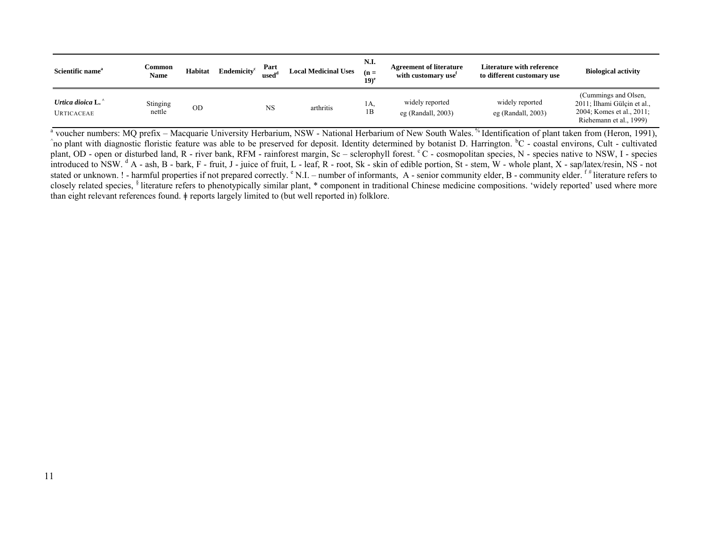| Scientific name <sup>a</sup>          | Common<br><b>Name</b> | Habitat | Part<br>$\mathbf{Endemicitv}^c$<br>used <sup>d</sup> | <b>Local Medicinal Uses</b> | N.I.<br>$(n =$<br>$19)$ <sup>e</sup> | <b>Agreement of literature</b><br>with customary use <sup>t</sup> | Literature with reference<br>to different customary use | <b>Biological activity</b>                                                                                  |
|---------------------------------------|-----------------------|---------|------------------------------------------------------|-----------------------------|--------------------------------------|-------------------------------------------------------------------|---------------------------------------------------------|-------------------------------------------------------------------------------------------------------------|
| Urtica dioica L.<br><b>URTICACEAE</b> | Stinging<br>nettle    | OD      | <b>NS</b>                                            | arthritis                   | 1A.<br>1B                            | widely reported<br>eg (Randall, $2003$ )                          | widely reported<br>eg (Randall, $2003$ )                | (Cummings and Olsen,<br>2011; İlhami Gülçin et al.,<br>2004; Komes et al., 2011;<br>Riehemann et al., 1999) |

<sup>a</sup> voucher numbers: MQ prefix – Macquarie University Herbarium, NSW - National Herbarium of New South Wales. <sup>%</sup> Identification of plant taken from (Heron, 1991),  $\hat{p}$  no plant with diagnostic floristic feature was able to be preserved for deposit. Identity determined by botanist D. Harrington.  ${}^{\text{b}}C$  - coastal environs, Cult - cultivated plant, OD - open or disturbed land, R - river bank, RFM - rainforest margin, Sc – sclerophyll forest. <sup>c</sup>C - cosmopolitan species, N - species native to NSW, I - species introduced to NSW. <sup>d</sup> A - ash, B - bark, F - fruit, J - juice of fruit, L - leaf, R - root, Sk - skin of edible portion, St - stem, W - whole plant, X - sap/latex/resin, NS - not stated or unknown. ! - harmful properties if not prepared correctly.  $\mathbf{e}$  N.I. – number of informants, A - senior community elder, B - community elder.  $\mathbf{f}$  + literature refers to closely related species, <sup>§</sup> literature refers to phenotypically similar plant, \* component in traditional Chinese medicine compositions. 'widely reported' used where more than eight relevant references found. ǂ reports largely limited to (but well reported in) folklore.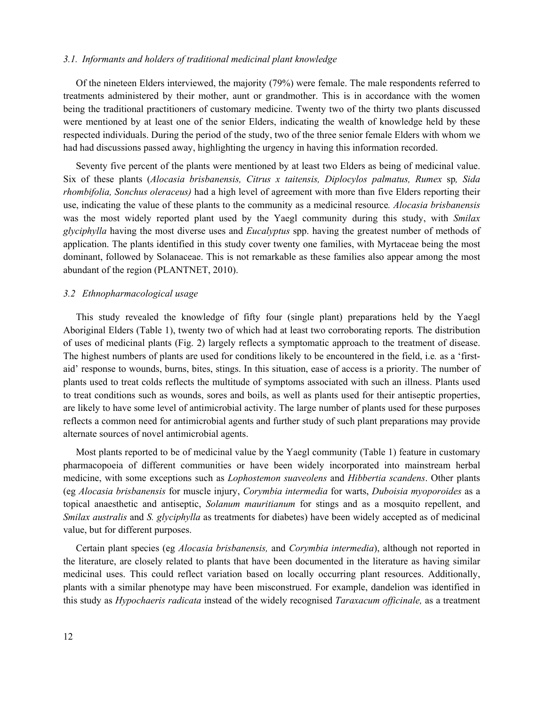#### *3.1. Informants and holders of traditional medicinal plant knowledge*

Of the nineteen Elders interviewed, the majority (79%) were female. The male respondents referred to treatments administered by their mother, aunt or grandmother. This is in accordance with the women being the traditional practitioners of customary medicine. Twenty two of the thirty two plants discussed were mentioned by at least one of the senior Elders, indicating the wealth of knowledge held by these respected individuals. During the period of the study, two of the three senior female Elders with whom we had had discussions passed away, highlighting the urgency in having this information recorded.

Seventy five percent of the plants were mentioned by at least two Elders as being of medicinal value. Six of these plants (*Alocasia brisbanensis, Citrus x taitensis, Diplocylos palmatus, Rumex* sp*, Sida rhombifolia, Sonchus oleraceus)* had a high level of agreement with more than five Elders reporting their use, indicating the value of these plants to the community as a medicinal resource*. Alocasia brisbanensis* was the most widely reported plant used by the Yaegl community during this study, with *Smilax glyciphylla* having the most diverse uses and *Eucalyptus* spp. having the greatest number of methods of application. The plants identified in this study cover twenty one families, with Myrtaceae being the most dominant, followed by Solanaceae. This is not remarkable as these families also appear among the most abundant of the region (PLANTNET, 2010).

#### *3.2 Ethnopharmacological usage*

This study revealed the knowledge of fifty four (single plant) preparations held by the Yaegl Aboriginal Elders (Table 1), twenty two of which had at least two corroborating reports*.* The distribution of uses of medicinal plants (Fig. 2) largely reflects a symptomatic approach to the treatment of disease. The highest numbers of plants are used for conditions likely to be encountered in the field, i.e*.* as a 'firstaid' response to wounds, burns, bites, stings. In this situation, ease of access is a priority. The number of plants used to treat colds reflects the multitude of symptoms associated with such an illness. Plants used to treat conditions such as wounds, sores and boils, as well as plants used for their antiseptic properties, are likely to have some level of antimicrobial activity. The large number of plants used for these purposes reflects a common need for antimicrobial agents and further study of such plant preparations may provide alternate sources of novel antimicrobial agents.

Most plants reported to be of medicinal value by the Yaegl community (Table 1) feature in customary pharmacopoeia of different communities or have been widely incorporated into mainstream herbal medicine, with some exceptions such as *Lophostemon suaveolens* and *Hibbertia scandens*. Other plants (eg *Alocasia brisbanensis* for muscle injury, *Corymbia intermedia* for warts, *Duboisia myoporoides* as a topical anaesthetic and antiseptic, *Solanum mauritianum* for stings and as a mosquito repellent, and *Smilax australis* and *S. glyciphylla* as treatments for diabetes) have been widely accepted as of medicinal value, but for different purposes.

Certain plant species (eg *Alocasia brisbanensis,* and *Corymbia intermedia*), although not reported in the literature, are closely related to plants that have been documented in the literature as having similar medicinal uses. This could reflect variation based on locally occurring plant resources. Additionally, plants with a similar phenotype may have been misconstrued. For example, dandelion was identified in this study as *Hypochaeris radicata* instead of the widely recognised *Taraxacum officinale,* as a treatment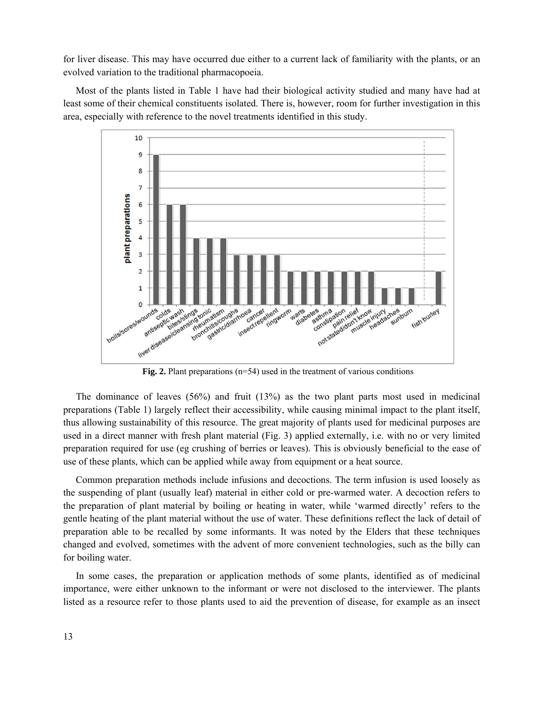for liver disease. This may have occurred due either to a current lack of familiarity with the plants, or an evolved variation to the traditional pharmacopoeia.

Most of the plants listed in Table 1 have had their biological activity studied and many have had at least some of their chemical constituents isolated. There is, however, room for further investigation in this area, especially with reference to the novel treatments identified in this study.



**Fig. 2.** Plant preparations (n=54) used in the treatment of various conditions

The dominance of leaves (56%) and fruit (13%) as the two plant parts most used in medicinal preparations (Table 1) largely reflect their accessibility, while causing minimal impact to the plant itself, thus allowing sustainability of this resource. The great majority of plants used for medicinal purposes are used in a direct manner with fresh plant material (Fig. 3) applied externally, i.e. with no or very limited preparation required for use (eg crushing of berries or leaves). This is obviously beneficial to the ease of use of these plants, which can be applied while away from equipment or a heat source.

Common preparation methods include infusions and decoctions. The term infusion is used loosely as the suspending of plant (usually leaf) material in either cold or pre-warmed water. A decoction refers to the preparation of plant material by boiling or heating in water, while 'warmed directly' refers to the gentle heating of the plant material without the use of water. These definitions reflect the lack of detail of preparation able to be recalled by some informants. It was noted by the Elders that these techniques changed and evolved, sometimes with the advent of more convenient technologies, such as the billy can for boiling water.

In some cases, the preparation or application methods of some plants, identified as of medicinal importance, were either unknown to the informant or were not disclosed to the interviewer. The plants listed as a resource refer to those plants used to aid the prevention of disease, for example as an insect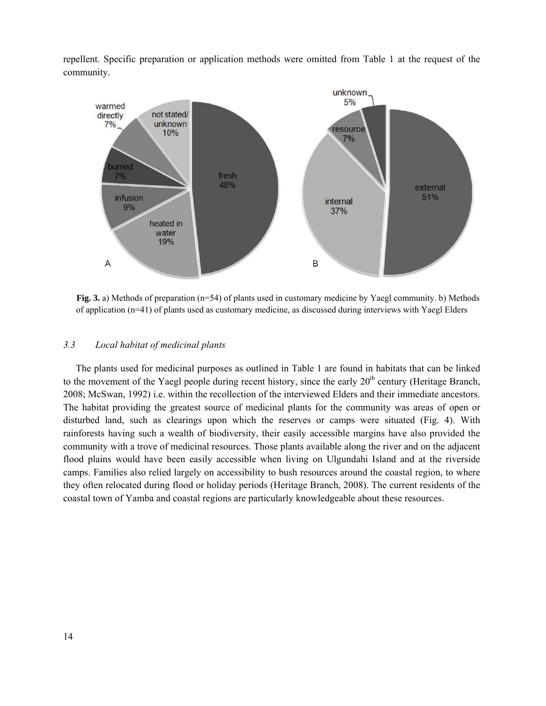repellent. Specific preparation or application methods were omitted from Table 1 at the request of the community.



**Fig. 3.** a) Methods of preparation (n=54) of plants used in customary medicine by Yaegl community. b) Methods of application (n=41) of plants used as customary medicine, as discussed during interviews with Yaegl Elders

#### *3.3 Local habitat of medicinal plants*

The plants used for medicinal purposes as outlined in Table 1 are found in habitats that can be linked to the movement of the Yaegl people during recent history, since the early  $20<sup>th</sup>$  century (Heritage Branch, 2008; McSwan, 1992) i.e. within the recollection of the interviewed Elders and their immediate ancestors. The habitat providing the greatest source of medicinal plants for the community was areas of open or disturbed land, such as clearings upon which the reserves or camps were situated (Fig. 4). With rainforests having such a wealth of biodiversity, their easily accessible margins have also provided the community with a trove of medicinal resources. Those plants available along the river and on the adjacent flood plains would have been easily accessible when living on Ulgundahi Island and at the riverside camps. Families also relied largely on accessibility to bush resources around the coastal region, to where they often relocated during flood or holiday periods (Heritage Branch, 2008). The current residents of the coastal town of Yamba and coastal regions are particularly knowledgeable about these resources.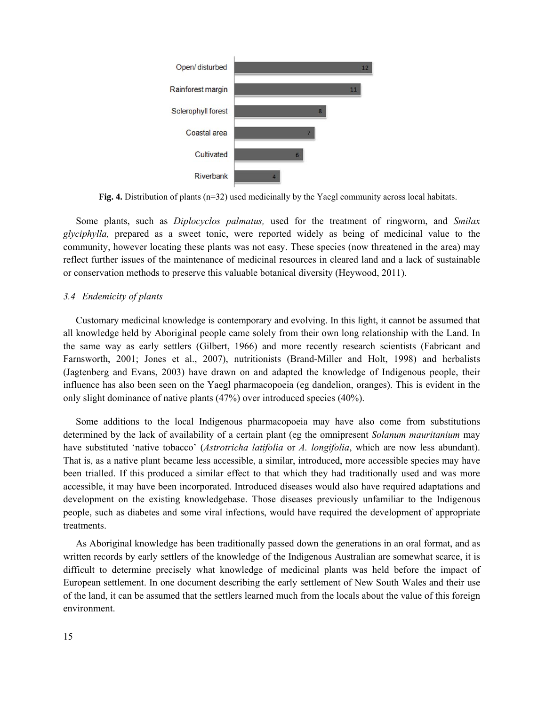

**Fig. 4.** Distribution of plants (n=32) used medicinally by the Yaegl community across local habitats.

Some plants, such as *Diplocyclos palmatus,* used for the treatment of ringworm, and *Smilax glyciphylla,* prepared as a sweet tonic, were reported widely as being of medicinal value to the community, however locating these plants was not easy. These species (now threatened in the area) may reflect further issues of the maintenance of medicinal resources in cleared land and a lack of sustainable or conservation methods to preserve this valuable botanical diversity (Heywood, 2011).

#### *3.4 Endemicity of plants*

Customary medicinal knowledge is contemporary and evolving. In this light, it cannot be assumed that all knowledge held by Aboriginal people came solely from their own long relationship with the Land. In the same way as early settlers (Gilbert, 1966) and more recently research scientists (Fabricant and Farnsworth, 2001; Jones et al., 2007), nutritionists (Brand-Miller and Holt, 1998) and herbalists (Jagtenberg and Evans, 2003) have drawn on and adapted the knowledge of Indigenous people, their influence has also been seen on the Yaegl pharmacopoeia (eg dandelion, oranges). This is evident in the only slight dominance of native plants (47%) over introduced species (40%).

Some additions to the local Indigenous pharmacopoeia may have also come from substitutions determined by the lack of availability of a certain plant (eg the omnipresent *Solanum mauritanium* may have substituted 'native tobacco' (*Astrotricha latifolia* or *A. longifolia*, which are now less abundant). That is, as a native plant became less accessible, a similar, introduced, more accessible species may have been trialled. If this produced a similar effect to that which they had traditionally used and was more accessible, it may have been incorporated. Introduced diseases would also have required adaptations and development on the existing knowledgebase. Those diseases previously unfamiliar to the Indigenous people, such as diabetes and some viral infections, would have required the development of appropriate treatments.

As Aboriginal knowledge has been traditionally passed down the generations in an oral format, and as written records by early settlers of the knowledge of the Indigenous Australian are somewhat scarce, it is difficult to determine precisely what knowledge of medicinal plants was held before the impact of European settlement. In one document describing the early settlement of New South Wales and their use of the land, it can be assumed that the settlers learned much from the locals about the value of this foreign environment.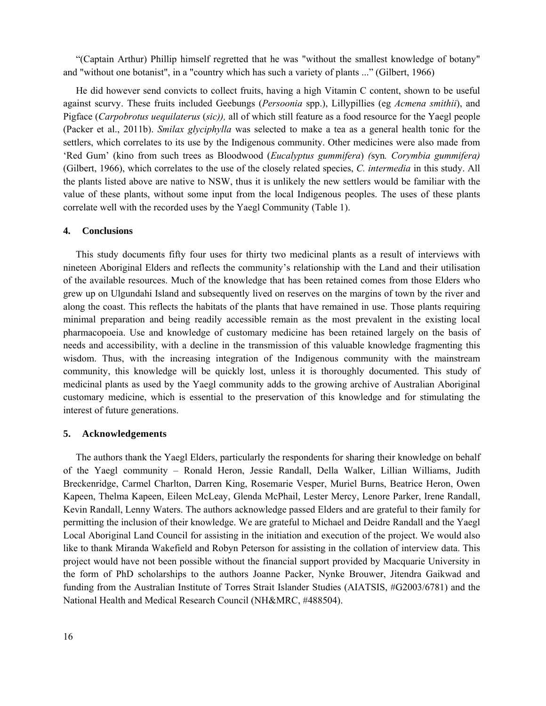"(Captain Arthur) Phillip himself regretted that he was "without the smallest knowledge of botany" and "without one botanist", in a "country which has such a variety of plants ..." (Gilbert, 1966)

He did however send convicts to collect fruits, having a high Vitamin C content, shown to be useful against scurvy. These fruits included Geebungs (*Persoonia* spp.), Lillypillies (eg *Acmena smithii*), and Pigface (*Carpobrotus uequilaterus* (*sic)),* all of which still feature as a food resource for the Yaegl people (Packer et al., 2011b). *Smilax glyciphylla* was selected to make a tea as a general health tonic for the settlers, which correlates to its use by the Indigenous community. Other medicines were also made from 'Red Gum' (kino from such trees as Bloodwood (*Eucalyptus gummifera*) *(*syn*. Corymbia gummifera)* (Gilbert, 1966), which correlates to the use of the closely related species, *C. intermedia* in this study. All the plants listed above are native to NSW, thus it is unlikely the new settlers would be familiar with the value of these plants, without some input from the local Indigenous peoples. The uses of these plants correlate well with the recorded uses by the Yaegl Community (Table 1).

#### **4. Conclusions**

This study documents fifty four uses for thirty two medicinal plants as a result of interviews with nineteen Aboriginal Elders and reflects the community's relationship with the Land and their utilisation of the available resources. Much of the knowledge that has been retained comes from those Elders who grew up on Ulgundahi Island and subsequently lived on reserves on the margins of town by the river and along the coast. This reflects the habitats of the plants that have remained in use. Those plants requiring minimal preparation and being readily accessible remain as the most prevalent in the existing local pharmacopoeia. Use and knowledge of customary medicine has been retained largely on the basis of needs and accessibility, with a decline in the transmission of this valuable knowledge fragmenting this wisdom. Thus, with the increasing integration of the Indigenous community with the mainstream community, this knowledge will be quickly lost, unless it is thoroughly documented. This study of medicinal plants as used by the Yaegl community adds to the growing archive of Australian Aboriginal customary medicine, which is essential to the preservation of this knowledge and for stimulating the interest of future generations.

#### **5. Acknowledgements**

The authors thank the Yaegl Elders, particularly the respondents for sharing their knowledge on behalf of the Yaegl community – Ronald Heron, Jessie Randall, Della Walker, Lillian Williams, Judith Breckenridge, Carmel Charlton, Darren King, Rosemarie Vesper, Muriel Burns, Beatrice Heron, Owen Kapeen, Thelma Kapeen, Eileen McLeay, Glenda McPhail, Lester Mercy, Lenore Parker, Irene Randall, Kevin Randall, Lenny Waters. The authors acknowledge passed Elders and are grateful to their family for permitting the inclusion of their knowledge. We are grateful to Michael and Deidre Randall and the Yaegl Local Aboriginal Land Council for assisting in the initiation and execution of the project. We would also like to thank Miranda Wakefield and Robyn Peterson for assisting in the collation of interview data. This project would have not been possible without the financial support provided by Macquarie University in the form of PhD scholarships to the authors Joanne Packer, Nynke Brouwer, Jitendra Gaikwad and funding from the Australian Institute of Torres Strait Islander Studies (AIATSIS, #G2003/6781) and the National Health and Medical Research Council (NH&MRC, #488504).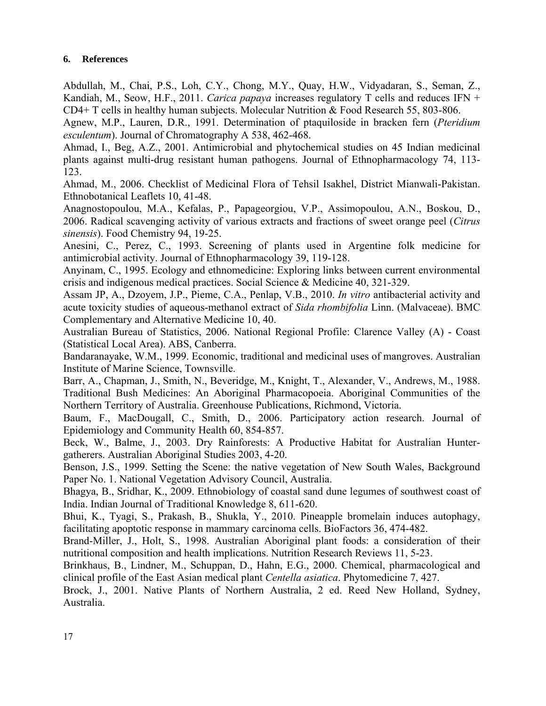### **6. References**

Abdullah, M., Chai, P.S., Loh, C.Y., Chong, M.Y., Quay, H.W., Vidyadaran, S., Seman, Z., Kandiah, M., Seow, H.F., 2011. *Carica papaya* increases regulatory T cells and reduces IFN + CD4+ T cells in healthy human subjects. Molecular Nutrition & Food Research 55, 803-806.

Agnew, M.P., Lauren, D.R., 1991. Determination of ptaquiloside in bracken fern (*Pteridium esculentum*). Journal of Chromatography A 538, 462-468.

Ahmad, I., Beg, A.Z., 2001. Antimicrobial and phytochemical studies on 45 Indian medicinal plants against multi-drug resistant human pathogens. Journal of Ethnopharmacology 74, 113- 123.

Ahmad, M., 2006. Checklist of Medicinal Flora of Tehsil Isakhel, District Mianwali-Pakistan. Ethnobotanical Leaflets 10, 41-48.

Anagnostopoulou, M.A., Kefalas, P., Papageorgiou, V.P., Assimopoulou, A.N., Boskou, D., 2006. Radical scavenging activity of various extracts and fractions of sweet orange peel (*Citrus sinensis*). Food Chemistry 94, 19-25.

Anesini, C., Perez, C., 1993. Screening of plants used in Argentine folk medicine for antimicrobial activity. Journal of Ethnopharmacology 39, 119-128.

Anyinam, C., 1995. Ecology and ethnomedicine: Exploring links between current environmental crisis and indigenous medical practices. Social Science & Medicine 40, 321-329.

Assam JP, A., Dzoyem, J.P., Pieme, C.A., Penlap, V.B., 2010. *In vitro* antibacterial activity and acute toxicity studies of aqueous-methanol extract of *Sida rhombifolia* Linn. (Malvaceae). BMC Complementary and Alternative Medicine 10, 40.

Australian Bureau of Statistics, 2006. National Regional Profile: Clarence Valley (A) - Coast (Statistical Local Area). ABS, Canberra.

Bandaranayake, W.M., 1999. Economic, traditional and medicinal uses of mangroves. Australian Institute of Marine Science, Townsville.

Barr, A., Chapman, J., Smith, N., Beveridge, M., Knight, T., Alexander, V., Andrews, M., 1988. Traditional Bush Medicines: An Aboriginal Pharmacopoeia. Aboriginal Communities of the Northern Territory of Australia. Greenhouse Publications, Richmond, Victoria.

Baum, F., MacDougall, C., Smith, D., 2006. Participatory action research. Journal of Epidemiology and Community Health 60, 854-857.

Beck, W., Balme, J., 2003. Dry Rainforests: A Productive Habitat for Australian Huntergatherers. Australian Aboriginal Studies 2003, 4-20.

Benson, J.S., 1999. Setting the Scene: the native vegetation of New South Wales, Background Paper No. 1. National Vegetation Advisory Council, Australia.

Bhagya, B., Sridhar, K., 2009. Ethnobiology of coastal sand dune legumes of southwest coast of India. Indian Journal of Traditional Knowledge 8, 611-620.

Bhui, K., Tyagi, S., Prakash, B., Shukla, Y., 2010. Pineapple bromelain induces autophagy, facilitating apoptotic response in mammary carcinoma cells. BioFactors 36, 474-482.

Brand-Miller, J., Holt, S., 1998. Australian Aboriginal plant foods: a consideration of their nutritional composition and health implications. Nutrition Research Reviews 11, 5-23.

Brinkhaus, B., Lindner, M., Schuppan, D., Hahn, E.G., 2000. Chemical, pharmacological and clinical profile of the East Asian medical plant *Centella asiatica*. Phytomedicine 7, 427.

Brock, J., 2001. Native Plants of Northern Australia, 2 ed. Reed New Holland, Sydney, Australia.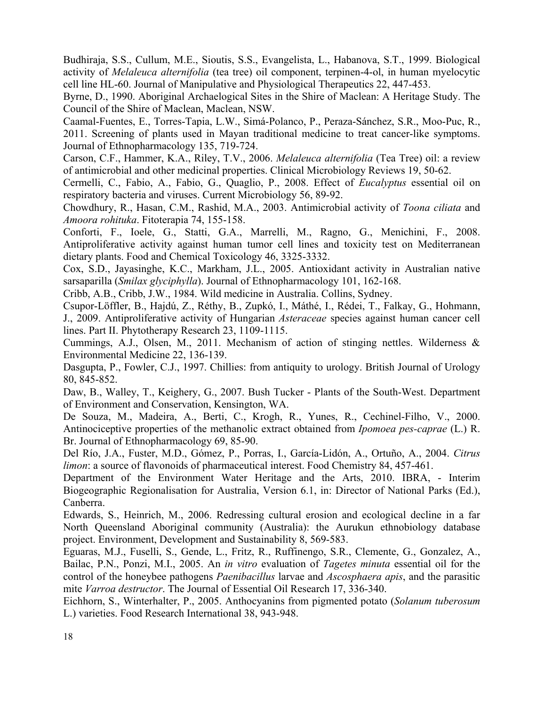Budhiraja, S.S., Cullum, M.E., Sioutis, S.S., Evangelista, L., Habanova, S.T., 1999. Biological activity of *Melaleuca alternifolia* (tea tree) oil component, terpinen-4-ol, in human myelocytic cell line HL-60. Journal of Manipulative and Physiological Therapeutics 22, 447-453.

Byrne, D., 1990. Aboriginal Archaelogical Sites in the Shire of Maclean: A Heritage Study. The Council of the Shire of Maclean, Maclean, NSW.

Caamal-Fuentes, E., Torres-Tapia, L.W., Simá-Polanco, P., Peraza-Sánchez, S.R., Moo-Puc, R., 2011. Screening of plants used in Mayan traditional medicine to treat cancer-like symptoms. Journal of Ethnopharmacology 135, 719-724.

Carson, C.F., Hammer, K.A., Riley, T.V., 2006. *Melaleuca alternifolia* (Tea Tree) oil: a review of antimicrobial and other medicinal properties. Clinical Microbiology Reviews 19, 50-62.

Cermelli, C., Fabio, A., Fabio, G., Quaglio, P., 2008. Effect of *Eucalyptus* essential oil on respiratory bacteria and viruses. Current Microbiology 56, 89-92.

Chowdhury, R., Hasan, C.M., Rashid, M.A., 2003. Antimicrobial activity of *Toona ciliata* and *Amoora rohituka*. Fitoterapia 74, 155-158.

Conforti, F., Ioele, G., Statti, G.A., Marrelli, M., Ragno, G., Menichini, F., 2008. Antiproliferative activity against human tumor cell lines and toxicity test on Mediterranean dietary plants. Food and Chemical Toxicology 46, 3325-3332.

Cox, S.D., Jayasinghe, K.C., Markham, J.L., 2005. Antioxidant activity in Australian native sarsaparilla (*Smilax glyciphylla*). Journal of Ethnopharmacology 101, 162-168.

Cribb, A.B., Cribb, J.W., 1984. Wild medicine in Australia. Collins, Sydney.

Csupor-Löffler, B., Hajdú, Z., Réthy, B., Zupkó, I., Máthé, I., Rédei, T., Falkay, G., Hohmann, J., 2009. Antiproliferative activity of Hungarian *Asteraceae* species against human cancer cell lines. Part II. Phytotherapy Research 23, 1109-1115.

Cummings, A.J., Olsen, M., 2011. Mechanism of action of stinging nettles. Wilderness & Environmental Medicine 22, 136-139.

Dasgupta, P., Fowler, C.J., 1997. Chillies: from antiquity to urology. British Journal of Urology 80, 845-852.

Daw, B., Walley, T., Keighery, G., 2007. Bush Tucker - Plants of the South-West. Department of Environment and Conservation, Kensington, WA.

De Souza, M., Madeira, A., Berti, C., Krogh, R., Yunes, R., Cechinel-Filho, V., 2000. Antinociceptive properties of the methanolic extract obtained from *Ipomoea pes-caprae* (L.) R. Br. Journal of Ethnopharmacology 69, 85-90.

Del Río, J.A., Fuster, M.D., Gómez, P., Porras, I., García-Lidón, A., Ortuño, A., 2004. *Citrus limon*: a source of flavonoids of pharmaceutical interest. Food Chemistry 84, 457-461.

Department of the Environment Water Heritage and the Arts, 2010. IBRA, - Interim Biogeographic Regionalisation for Australia, Version 6.1, in: Director of National Parks (Ed.), Canberra.

Edwards, S., Heinrich, M., 2006. Redressing cultural erosion and ecological decline in a far North Queensland Aboriginal community (Australia): the Aurukun ethnobiology database project. Environment, Development and Sustainability 8, 569-583.

Eguaras, M.J., Fuselli, S., Gende, L., Fritz, R., Ruffinengo, S.R., Clemente, G., Gonzalez, A., Bailac, P.N., Ponzi, M.I., 2005. An *in vitro* evaluation of *Tagetes minuta* essential oil for the control of the honeybee pathogens *Paenibacillus* larvae and *Ascosphaera apis*, and the parasitic mite *Varroa destructor*. The Journal of Essential Oil Research 17, 336-340.

Eichhorn, S., Winterhalter, P., 2005. Anthocyanins from pigmented potato (*Solanum tuberosum* L.) varieties. Food Research International 38, 943-948.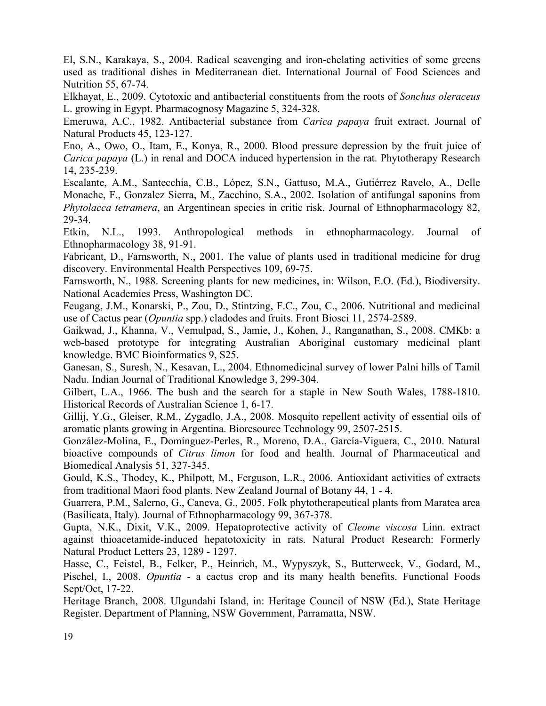El, S.N., Karakaya, S., 2004. Radical scavenging and iron-chelating activities of some greens used as traditional dishes in Mediterranean diet. International Journal of Food Sciences and Nutrition 55, 67-74.

Elkhayat, E., 2009. Cytotoxic and antibacterial constituents from the roots of *Sonchus oleraceus* L. growing in Egypt. Pharmacognosy Magazine 5, 324-328.

Emeruwa, A.C., 1982. Antibacterial substance from *Carica papaya* fruit extract. Journal of Natural Products 45, 123-127.

Eno, A., Owo, O., Itam, E., Konya, R., 2000. Blood pressure depression by the fruit juice of *Carica papaya* (L.) in renal and DOCA induced hypertension in the rat. Phytotherapy Research 14, 235-239.

Escalante, A.M., Santecchia, C.B., López, S.N., Gattuso, M.A., Gutiérrez Ravelo, A., Delle Monache, F., Gonzalez Sierra, M., Zacchino, S.A., 2002. Isolation of antifungal saponins from *Phytolacca tetramera*, an Argentinean species in critic risk. Journal of Ethnopharmacology 82, 29-34.

Etkin, N.L., 1993. Anthropological methods in ethnopharmacology. Journal of Ethnopharmacology 38, 91-91.

Fabricant, D., Farnsworth, N., 2001. The value of plants used in traditional medicine for drug discovery. Environmental Health Perspectives 109, 69-75.

Farnsworth, N., 1988. Screening plants for new medicines, in: Wilson, E.O. (Ed.), Biodiversity. National Academies Press, Washington DC.

Feugang, J.M., Konarski, P., Zou, D., Stintzing, F.C., Zou, C., 2006. Nutritional and medicinal use of Cactus pear (*Opuntia* spp.) cladodes and fruits. Front Biosci 11, 2574-2589.

Gaikwad, J., Khanna, V., Vemulpad, S., Jamie, J., Kohen, J., Ranganathan, S., 2008. CMKb: a web-based prototype for integrating Australian Aboriginal customary medicinal plant knowledge. BMC Bioinformatics 9, S25.

Ganesan, S., Suresh, N., Kesavan, L., 2004. Ethnomedicinal survey of lower Palni hills of Tamil Nadu. Indian Journal of Traditional Knowledge 3, 299-304.

Gilbert, L.A., 1966. The bush and the search for a staple in New South Wales, 1788-1810. Historical Records of Australian Science 1, 6-17.

Gillij, Y.G., Gleiser, R.M., Zygadlo, J.A., 2008. Mosquito repellent activity of essential oils of aromatic plants growing in Argentina. Bioresource Technology 99, 2507-2515.

González-Molina, E., Domínguez-Perles, R., Moreno, D.A., García-Viguera, C., 2010. Natural bioactive compounds of *Citrus limon* for food and health. Journal of Pharmaceutical and Biomedical Analysis 51, 327-345.

Gould, K.S., Thodey, K., Philpott, M., Ferguson, L.R., 2006. Antioxidant activities of extracts from traditional Maori food plants. New Zealand Journal of Botany 44, 1 - 4.

Guarrera, P.M., Salerno, G., Caneva, G., 2005. Folk phytotherapeutical plants from Maratea area (Basilicata, Italy). Journal of Ethnopharmacology 99, 367-378.

Gupta, N.K., Dixit, V.K., 2009. Hepatoprotective activity of *Cleome viscosa* Linn. extract against thioacetamide-induced hepatotoxicity in rats. Natural Product Research: Formerly Natural Product Letters 23, 1289 - 1297.

Hasse, C., Feistel, B., Felker, P., Heinrich, M., Wypyszyk, S., Butterweck, V., Godard, M., Pischel, I., 2008. *Opuntia* - a cactus crop and its many health benefits. Functional Foods Sept/Oct, 17-22.

Heritage Branch, 2008. Ulgundahi Island, in: Heritage Council of NSW (Ed.), State Heritage Register. Department of Planning, NSW Government, Parramatta, NSW.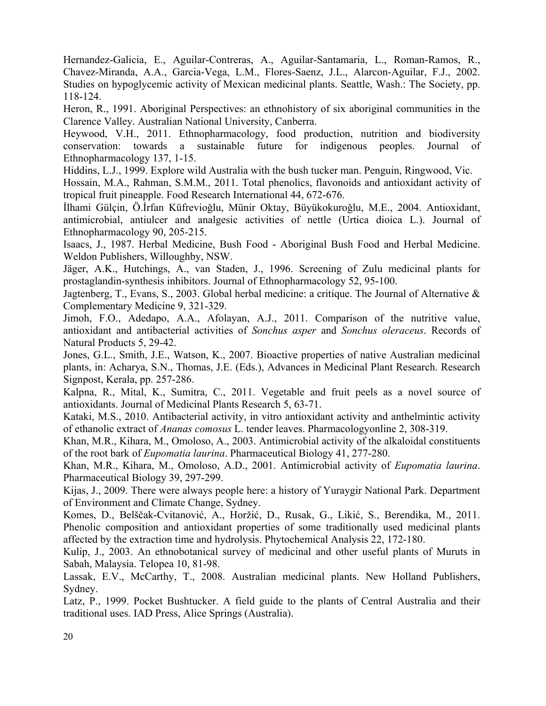Hernandez-Galicia, E., Aguilar-Contreras, A., Aguilar-Santamaria, L., Roman-Ramos, R., Chavez-Miranda, A.A., Garcia-Vega, L.M., Flores-Saenz, J.L., Alarcon-Aguilar, F.J., 2002. Studies on hypoglycemic activity of Mexican medicinal plants. Seattle, Wash.: The Society, pp. 118-124.

Heron, R., 1991. Aboriginal Perspectives: an ethnohistory of six aboriginal communities in the Clarence Valley. Australian National University, Canberra.

Heywood, V.H., 2011. Ethnopharmacology, food production, nutrition and biodiversity conservation: towards a sustainable future for indigenous peoples. Journal of Ethnopharmacology 137, 1-15.

Hiddins, L.J., 1999. Explore wild Australia with the bush tucker man. Penguin, Ringwood, Vic.

Hossain, M.A., Rahman, S.M.M., 2011. Total phenolics, flavonoids and antioxidant activity of tropical fruit pineapple. Food Research International 44, 672-676.

İlhami Gülçin, Ö.İrfan Küfrevioğlu, Münir Oktay, Büyükokuroğlu, M.E., 2004. Antioxidant, antimicrobial, antiulcer and analgesic activities of nettle (Urtica dioica L.). Journal of Ethnopharmacology 90, 205-215.

Isaacs, J., 1987. Herbal Medicine, Bush Food - Aboriginal Bush Food and Herbal Medicine. Weldon Publishers, Willoughby, NSW.

Jäger, A.K., Hutchings, A., van Staden, J., 1996. Screening of Zulu medicinal plants for prostaglandin-synthesis inhibitors. Journal of Ethnopharmacology 52, 95-100.

Jagtenberg, T., Evans, S., 2003. Global herbal medicine: a critique. The Journal of Alternative & Complementary Medicine 9, 321-329.

Jimoh, F.O., Adedapo, A.A., Afolayan, A.J., 2011. Comparison of the nutritive value, antioxidant and antibacterial activities of *Sonchus asper* and *Sonchus oleraceus*. Records of Natural Products 5, 29-42.

Jones, G.L., Smith, J.E., Watson, K., 2007. Bioactive properties of native Australian medicinal plants, in: Acharya, S.N., Thomas, J.E. (Eds.), Advances in Medicinal Plant Research. Research Signpost, Kerala, pp. 257-286.

Kalpna, R., Mital, K., Sumitra, C., 2011. Vegetable and fruit peels as a novel source of antioxidants. Journal of Medicinal Plants Research 5, 63-71.

Kataki, M.S., 2010. Antibacterial activity, in vitro antioxidant activity and anthelmintic activity of ethanolic extract of *Ananas comosus* L. tender leaves. Pharmacologyonline 2, 308-319.

Khan, M.R., Kihara, M., Omoloso, A., 2003. Antimicrobial activity of the alkaloidal constituents of the root bark of *Eupomatia laurina*. Pharmaceutical Biology 41, 277-280.

Khan, M.R., Kihara, M., Omoloso, A.D., 2001. Antimicrobial activity of *Eupomatia laurina*. Pharmaceutical Biology 39, 297-299.

Kijas, J., 2009. There were always people here: a history of Yuraygir National Park. Department of Environment and Climate Change, Sydney.

Komes, D., Belščak-Cvitanović, A., Horžić, D., Rusak, G., Likić, S., Berendika, M., 2011. Phenolic composition and antioxidant properties of some traditionally used medicinal plants affected by the extraction time and hydrolysis. Phytochemical Analysis 22, 172-180.

Kulip, J., 2003. An ethnobotanical survey of medicinal and other useful plants of Muruts in Sabah, Malaysia. Telopea 10, 81-98.

Lassak, E.V., McCarthy, T., 2008. Australian medicinal plants. New Holland Publishers, Sydney.

Latz, P., 1999. Pocket Bushtucker. A field guide to the plants of Central Australia and their traditional uses. IAD Press, Alice Springs (Australia).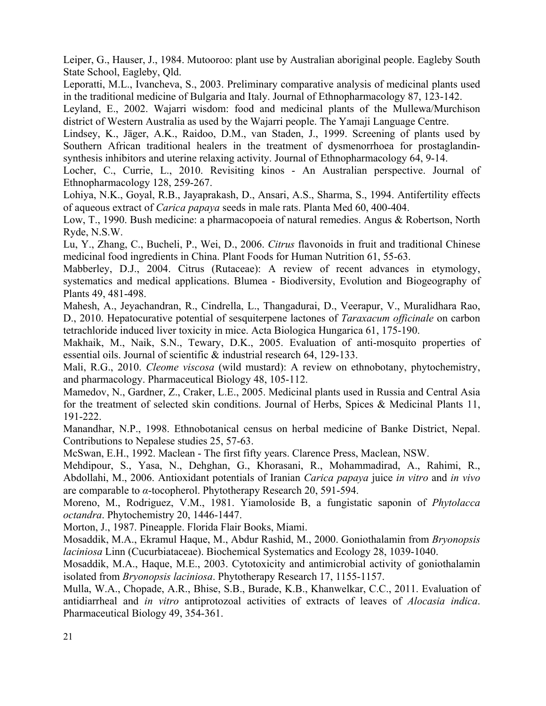Leiper, G., Hauser, J., 1984. Mutooroo: plant use by Australian aboriginal people. Eagleby South State School, Eagleby, Qld.

Leporatti, M.L., Ivancheva, S., 2003. Preliminary comparative analysis of medicinal plants used in the traditional medicine of Bulgaria and Italy. Journal of Ethnopharmacology 87, 123-142.

Leyland, E., 2002. Wajarri wisdom: food and medicinal plants of the Mullewa/Murchison district of Western Australia as used by the Wajarri people. The Yamaji Language Centre.

Lindsey, K., Jäger, A.K., Raidoo, D.M., van Staden, J., 1999. Screening of plants used by Southern African traditional healers in the treatment of dysmenorrhoea for prostaglandinsynthesis inhibitors and uterine relaxing activity. Journal of Ethnopharmacology 64, 9-14.

Locher, C., Currie, L., 2010. Revisiting kinos - An Australian perspective. Journal of Ethnopharmacology 128, 259-267.

Lohiya, N.K., Goyal, R.B., Jayaprakash, D., Ansari, A.S., Sharma, S., 1994. Antifertility effects of aqueous extract of *Carica papaya* seeds in male rats. Planta Med 60, 400-404.

Low, T., 1990. Bush medicine: a pharmacopoeia of natural remedies. Angus & Robertson, North Ryde, N.S.W.

Lu, Y., Zhang, C., Bucheli, P., Wei, D., 2006. *Citrus* flavonoids in fruit and traditional Chinese medicinal food ingredients in China. Plant Foods for Human Nutrition 61, 55-63.

Mabberley, D.J., 2004. Citrus (Rutaceae): A review of recent advances in etymology, systematics and medical applications. Blumea - Biodiversity, Evolution and Biogeography of Plants 49, 481-498.

Mahesh, A., Jeyachandran, R., Cindrella, L., Thangadurai, D., Veerapur, V., Muralidhara Rao, D., 2010. Hepatocurative potential of sesquiterpene lactones of *Taraxacum officinale* on carbon tetrachloride induced liver toxicity in mice. Acta Biologica Hungarica 61, 175-190.

Makhaik, M., Naik, S.N., Tewary, D.K., 2005. Evaluation of anti-mosquito properties of essential oils. Journal of scientific & industrial research 64, 129-133.

Mali, R.G., 2010. *Cleome viscosa* (wild mustard): A review on ethnobotany, phytochemistry, and pharmacology. Pharmaceutical Biology 48, 105-112.

Mamedov, N., Gardner, Z., Craker, L.E., 2005. Medicinal plants used in Russia and Central Asia for the treatment of selected skin conditions. Journal of Herbs, Spices & Medicinal Plants 11, 191-222.

Manandhar, N.P., 1998. Ethnobotanical census on herbal medicine of Banke District, Nepal. Contributions to Nepalese studies 25, 57-63.

McSwan, E.H., 1992. Maclean - The first fifty years. Clarence Press, Maclean, NSW.

Mehdipour, S., Yasa, N., Dehghan, G., Khorasani, R., Mohammadirad, A., Rahimi, R., Abdollahi, M., 2006. Antioxidant potentials of Iranian *Carica papaya* juice *in vitro* and *in vivo* are comparable to *α*-tocopherol. Phytotherapy Research 20, 591-594.

Moreno, M., Rodriguez, V.M., 1981. Yiamoloside B, a fungistatic saponin of *Phytolacca octandra*. Phytochemistry 20, 1446-1447.

Morton, J., 1987. Pineapple. Florida Flair Books, Miami.

Mosaddik, M.A., Ekramul Haque, M., Abdur Rashid, M., 2000. Goniothalamin from *Bryonopsis laciniosa* Linn (Cucurbiataceae). Biochemical Systematics and Ecology 28, 1039-1040.

Mosaddik, M.A., Haque, M.E., 2003. Cytotoxicity and antimicrobial activity of goniothalamin isolated from *Bryonopsis laciniosa*. Phytotherapy Research 17, 1155-1157.

Mulla, W.A., Chopade, A.R., Bhise, S.B., Burade, K.B., Khanwelkar, C.C., 2011. Evaluation of antidiarrheal and *in vitro* antiprotozoal activities of extracts of leaves of *Alocasia indica*. Pharmaceutical Biology 49, 354-361.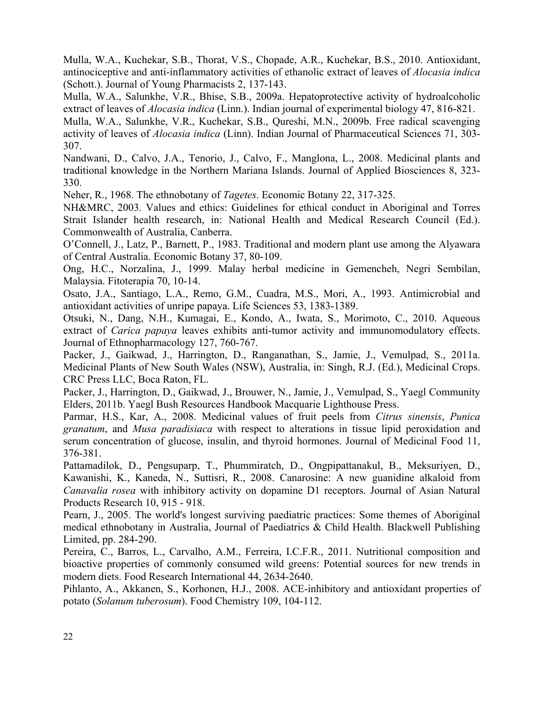Mulla, W.A., Kuchekar, S.B., Thorat, V.S., Chopade, A.R., Kuchekar, B.S., 2010. Antioxidant, antinociceptive and anti-inflammatory activities of ethanolic extract of leaves of *Alocasia indica* (Schott.). Journal of Young Pharmacists 2, 137-143.

Mulla, W.A., Salunkhe, V.R., Bhise, S.B., 2009a. Hepatoprotective activity of hydroalcoholic extract of leaves of *Alocasia indica* (Linn.). Indian journal of experimental biology 47, 816-821.

Mulla, W.A., Salunkhe, V.R., Kuchekar, S.B., Qureshi, M.N., 2009b. Free radical scavenging activity of leaves of *Alocasia indica* (Linn). Indian Journal of Pharmaceutical Sciences 71, 303- 307.

Nandwani, D., Calvo, J.A., Tenorio, J., Calvo, F., Manglona, L., 2008. Medicinal plants and traditional knowledge in the Northern Mariana Islands. Journal of Applied Biosciences 8, 323- 330.

Neher, R., 1968. The ethnobotany of *Tagetes*. Economic Botany 22, 317-325.

NH&MRC, 2003. Values and ethics: Guidelines for ethical conduct in Aboriginal and Torres Strait Islander health research, in: National Health and Medical Research Council (Ed.). Commonwealth of Australia, Canberra.

O'Connell, J., Latz, P., Barnett, P., 1983. Traditional and modern plant use among the Alyawara of Central Australia. Economic Botany 37, 80-109.

Ong, H.C., Norzalina, J., 1999. Malay herbal medicine in Gemencheh, Negri Sembilan, Malaysia. Fitoterapia 70, 10-14.

Osato, J.A., Santiago, L.A., Remo, G.M., Cuadra, M.S., Mori, A., 1993. Antimicrobial and antioxidant activities of unripe papaya. Life Sciences 53, 1383-1389.

Otsuki, N., Dang, N.H., Kumagai, E., Kondo, A., Iwata, S., Morimoto, C., 2010. Aqueous extract of *Carica papaya* leaves exhibits anti-tumor activity and immunomodulatory effects. Journal of Ethnopharmacology 127, 760-767.

Packer, J., Gaikwad, J., Harrington, D., Ranganathan, S., Jamie, J., Vemulpad, S., 2011a. Medicinal Plants of New South Wales (NSW), Australia, in: Singh, R.J. (Ed.), Medicinal Crops. CRC Press LLC, Boca Raton, FL.

Packer, J., Harrington, D., Gaikwad, J., Brouwer, N., Jamie, J., Vemulpad, S., Yaegl Community Elders, 2011b. Yaegl Bush Resources Handbook Macquarie Lighthouse Press.

Parmar, H.S., Kar, A., 2008. Medicinal values of fruit peels from *Citrus sinensis*, *Punica granatum*, and *Musa paradisiaca* with respect to alterations in tissue lipid peroxidation and serum concentration of glucose, insulin, and thyroid hormones. Journal of Medicinal Food 11, 376-381.

Pattamadilok, D., Pengsuparp, T., Phummiratch, D., Ongpipattanakul, B., Meksuriyen, D., Kawanishi, K., Kaneda, N., Suttisri, R., 2008. Canarosine: A new guanidine alkaloid from *Canavalia rosea* with inhibitory activity on dopamine D1 receptors. Journal of Asian Natural Products Research 10, 915 - 918.

Pearn, J., 2005. The world's longest surviving paediatric practices: Some themes of Aboriginal medical ethnobotany in Australia, Journal of Paediatrics & Child Health. Blackwell Publishing Limited, pp. 284-290.

Pereira, C., Barros, L., Carvalho, A.M., Ferreira, I.C.F.R., 2011. Nutritional composition and bioactive properties of commonly consumed wild greens: Potential sources for new trends in modern diets. Food Research International 44, 2634-2640.

Pihlanto, A., Akkanen, S., Korhonen, H.J., 2008. ACE-inhibitory and antioxidant properties of potato (*Solanum tuberosum*). Food Chemistry 109, 104-112.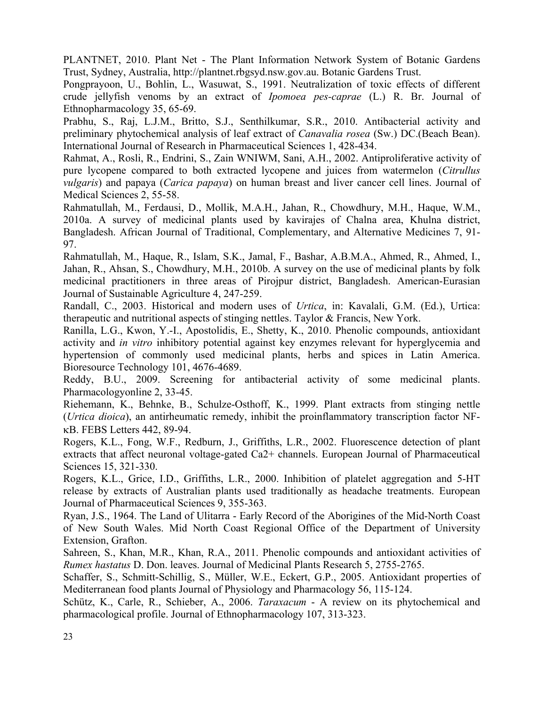PLANTNET, 2010. Plant Net - The Plant Information Network System of Botanic Gardens Trust, Sydney, Australia, http://plantnet.rbgsyd.nsw.gov.au. Botanic Gardens Trust.

Pongprayoon, U., Bohlin, L., Wasuwat, S., 1991. Neutralization of toxic effects of different crude jellyfish venoms by an extract of *Ipomoea pes-caprae* (L.) R. Br. Journal of Ethnopharmacology 35, 65-69.

Prabhu, S., Raj, L.J.M., Britto, S.J., Senthilkumar, S.R., 2010. Antibacterial activity and preliminary phytochemical analysis of leaf extract of *Canavalia rosea* (Sw.) DC.(Beach Bean). International Journal of Research in Pharmaceutical Sciences 1, 428-434.

Rahmat, A., Rosli, R., Endrini, S., Zain WNIWM, Sani, A.H., 2002. Antiproliferative activity of pure lycopene compared to both extracted lycopene and juices from watermelon (*Citrullus vulgaris*) and papaya (*Carica papaya*) on human breast and liver cancer cell lines. Journal of Medical Sciences 2, 55-58.

Rahmatullah, M., Ferdausi, D., Mollik, M.A.H., Jahan, R., Chowdhury, M.H., Haque, W.M., 2010a. A survey of medicinal plants used by kavirajes of Chalna area, Khulna district, Bangladesh. African Journal of Traditional, Complementary, and Alternative Medicines 7, 91- 97.

Rahmatullah, M., Haque, R., Islam, S.K., Jamal, F., Bashar, A.B.M.A., Ahmed, R., Ahmed, I., Jahan, R., Ahsan, S., Chowdhury, M.H., 2010b. A survey on the use of medicinal plants by folk medicinal practitioners in three areas of Pirojpur district, Bangladesh. American-Eurasian Journal of Sustainable Agriculture 4, 247-259.

Randall, C., 2003. Historical and modern uses of *Urtica*, in: Kavalali, G.M. (Ed.), Urtica: therapeutic and nutritional aspects of stinging nettles. Taylor & Francis, New York.

Ranilla, L.G., Kwon, Y.-I., Apostolidis, E., Shetty, K., 2010. Phenolic compounds, antioxidant activity and *in vitro* inhibitory potential against key enzymes relevant for hyperglycemia and hypertension of commonly used medicinal plants, herbs and spices in Latin America. Bioresource Technology 101, 4676-4689.

Reddy, B.U., 2009. Screening for antibacterial activity of some medicinal plants. Pharmacologyonline 2, 33-45.

Riehemann, K., Behnke, B., Schulze-Osthoff, K., 1999. Plant extracts from stinging nettle (*Urtica dioica*), an antirheumatic remedy, inhibit the proinflammatory transcription factor NF- B. FEBS Letters 442, 89-94.

Rogers, K.L., Fong, W.F., Redburn, J., Griffiths, L.R., 2002. Fluorescence detection of plant extracts that affect neuronal voltage-gated Ca2+ channels. European Journal of Pharmaceutical Sciences 15, 321-330.

Rogers, K.L., Grice, I.D., Griffiths, L.R., 2000. Inhibition of platelet aggregation and 5-HT release by extracts of Australian plants used traditionally as headache treatments. European Journal of Pharmaceutical Sciences 9, 355-363.

Ryan, J.S., 1964. The Land of Ulitarra - Early Record of the Aborigines of the Mid-North Coast of New South Wales. Mid North Coast Regional Office of the Department of University Extension, Grafton.

Sahreen, S., Khan, M.R., Khan, R.A., 2011. Phenolic compounds and antioxidant activities of *Rumex hastatus* D. Don. leaves. Journal of Medicinal Plants Research 5, 2755-2765.

Schaffer, S., Schmitt-Schillig, S., Müller, W.E., Eckert, G.P., 2005. Antioxidant properties of Mediterranean food plants Journal of Physiology and Pharmacology 56, 115-124.

Schütz, K., Carle, R., Schieber, A., 2006. *Taraxacum* - A review on its phytochemical and pharmacological profile. Journal of Ethnopharmacology 107, 313-323.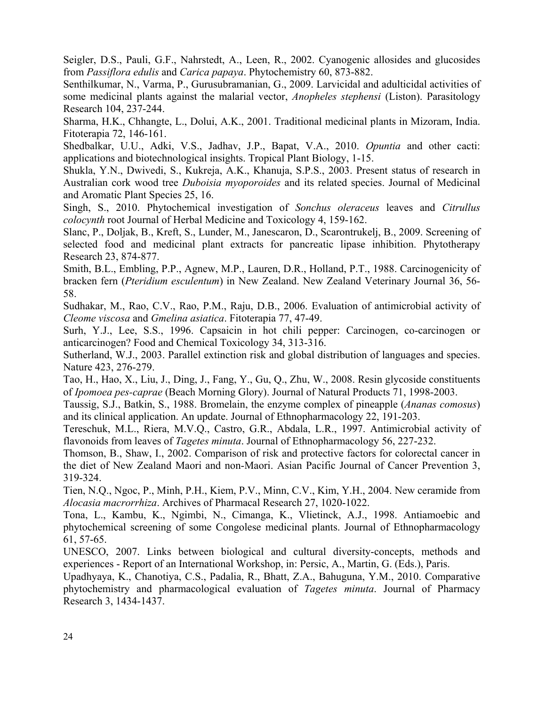Seigler, D.S., Pauli, G.F., Nahrstedt, A., Leen, R., 2002. Cyanogenic allosides and glucosides from *Passiflora edulis* and *Carica papaya*. Phytochemistry 60, 873-882.

Senthilkumar, N., Varma, P., Gurusubramanian, G., 2009. Larvicidal and adulticidal activities of some medicinal plants against the malarial vector, *Anopheles stephensi* (Liston). Parasitology Research 104, 237-244.

Sharma, H.K., Chhangte, L., Dolui, A.K., 2001. Traditional medicinal plants in Mizoram, India. Fitoterapia 72, 146-161.

Shedbalkar, U.U., Adki, V.S., Jadhav, J.P., Bapat, V.A., 2010. *Opuntia* and other cacti: applications and biotechnological insights. Tropical Plant Biology, 1-15.

Shukla, Y.N., Dwivedi, S., Kukreja, A.K., Khanuja, S.P.S., 2003. Present status of research in Australian cork wood tree *Duboisia myoporoides* and its related species. Journal of Medicinal and Aromatic Plant Species 25, 16.

Singh, S., 2010. Phytochemical investigation of *Sonchus oleraceus* leaves and *Citrullus colocynth* root Journal of Herbal Medicine and Toxicology 4, 159-162.

Slanc, P., Doljak, B., Kreft, S., Lunder, M., Janescaron, D., Scarontrukelj, B., 2009. Screening of selected food and medicinal plant extracts for pancreatic lipase inhibition. Phytotherapy Research 23, 874-877.

Smith, B.L., Embling, P.P., Agnew, M.P., Lauren, D.R., Holland, P.T., 1988. Carcinogenicity of bracken fern (*Pteridium esculentum*) in New Zealand. New Zealand Veterinary Journal 36, 56- 58.

Sudhakar, M., Rao, C.V., Rao, P.M., Raju, D.B., 2006. Evaluation of antimicrobial activity of *Cleome viscosa* and *Gmelina asiatica*. Fitoterapia 77, 47-49.

Surh, Y.J., Lee, S.S., 1996. Capsaicin in hot chili pepper: Carcinogen, co-carcinogen or anticarcinogen? Food and Chemical Toxicology 34, 313-316.

Sutherland, W.J., 2003. Parallel extinction risk and global distribution of languages and species. Nature 423, 276-279.

Tao, H., Hao, X., Liu, J., Ding, J., Fang, Y., Gu, Q., Zhu, W., 2008. Resin glycoside constituents of *Ipomoea pes-caprae* (Beach Morning Glory). Journal of Natural Products 71, 1998-2003.

Taussig, S.J., Batkin, S., 1988. Bromelain, the enzyme complex of pineapple (*Ananas comosus*) and its clinical application. An update. Journal of Ethnopharmacology 22, 191-203.

Tereschuk, M.L., Riera, M.V.Q., Castro, G.R., Abdala, L.R., 1997. Antimicrobial activity of flavonoids from leaves of *Tagetes minuta*. Journal of Ethnopharmacology 56, 227-232.

Thomson, B., Shaw, I., 2002. Comparison of risk and protective factors for colorectal cancer in the diet of New Zealand Maori and non-Maori. Asian Pacific Journal of Cancer Prevention 3, 319-324.

Tien, N.Q., Ngoc, P., Minh, P.H., Kiem, P.V., Minn, C.V., Kim, Y.H., 2004. New ceramide from *Alocasia macrorrhiza*. Archives of Pharmacal Research 27, 1020-1022.

Tona, L., Kambu, K., Ngimbi, N., Cimanga, K., Vlietinck, A.J., 1998. Antiamoebic and phytochemical screening of some Congolese medicinal plants. Journal of Ethnopharmacology 61, 57-65.

UNESCO, 2007. Links between biological and cultural diversity-concepts, methods and experiences - Report of an International Workshop, in: Persic, A., Martin, G. (Eds.), Paris.

Upadhyaya, K., Chanotiya, C.S., Padalia, R., Bhatt, Z.A., Bahuguna, Y.M., 2010. Comparative phytochemistry and pharmacological evaluation of *Tagetes minuta*. Journal of Pharmacy Research 3, 1434-1437.